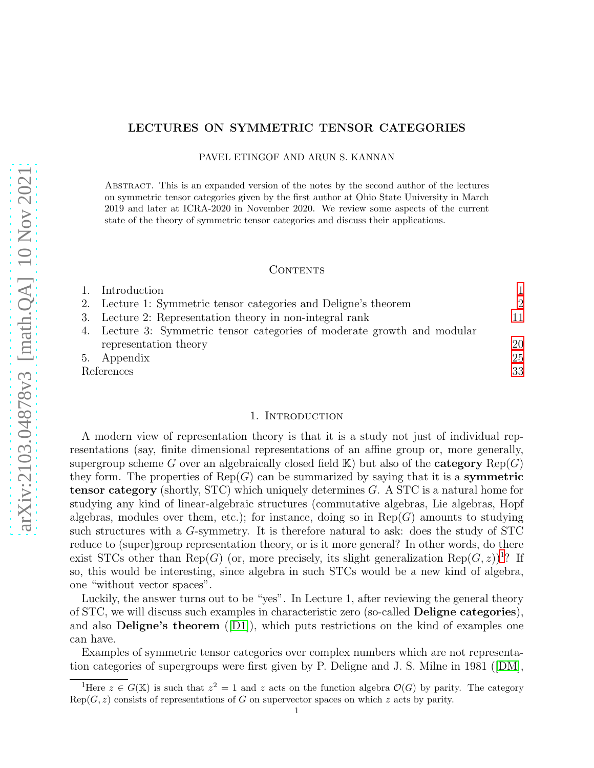# LECTURES ON SYMMETRIC TENSOR CATEGORIES

PAVEL ETINGOF AND ARUN S. KANNAN

Abstract. This is an expanded version of the notes by the second author of the lectures on symmetric tensor categories given by the first author at Ohio State University in March 2019 and later at ICRA-2020 in November 2020. We review some aspects of the current state of the theory of symmetric tensor categories and discuss their applications.

### CONTENTS

| Introduction                                                             |                |
|--------------------------------------------------------------------------|----------------|
| 2. Lecture 1: Symmetric tensor categories and Deligne's theorem          | $\overline{2}$ |
| 3. Lecture 2: Representation theory in non-integral rank                 | 11             |
| 4. Lecture 3: Symmetric tensor categories of moderate growth and modular |                |
| representation theory                                                    | 20             |
| 5. Appendix                                                              | 25             |
| References                                                               |                |

## 1. INTRODUCTION

<span id="page-0-0"></span>A modern view of representation theory is that it is a study not just of individual representations (say, finite dimensional representations of an affine group or, more generally, supergroup scheme G over an algebraically closed field  $K$ ) but also of the **category**  $Rep(G)$ they form. The properties of  $\text{Rep}(G)$  can be summarized by saying that it is a **symmetric** tensor category (shortly, STC) which uniquely determines G. A STC is a natural home for studying any kind of linear-algebraic structures (commutative algebras, Lie algebras, Hopf algebras, modules over them, etc.); for instance, doing so in  $\text{Rep}(G)$  amounts to studying such structures with a G-symmetry. It is therefore natural to ask: does the study of STC reduce to (super)group representation theory, or is it more general? In other words, do there exist STCs other than Rep(G) (or, more precisely, its slight generalization  $\text{Rep}(G, z)$ <sup>[1](#page-0-1)</sup>? If so, this would be interesting, since algebra in such STCs would be a new kind of algebra, one "without vector spaces".

Luckily, the answer turns out to be "yes". In Lecture 1, after reviewing the general theory of STC, we will discuss such examples in characteristic zero (so-called Deligne categories), and also **Deligne's theorem** ([\[D1\]](#page-32-1)), which puts restrictions on the kind of examples one can have.

Examples of symmetric tensor categories over complex numbers which are not representation categories of supergroups were first given by P. Deligne and J. S. Milne in 1981([\[DM\]](#page-32-2),

<span id="page-0-1"></span><sup>&</sup>lt;sup>1</sup>Here  $z \in G(\mathbb{K})$  is such that  $z^2 = 1$  and z acts on the function algebra  $\mathcal{O}(G)$  by parity. The category  $Rep(G, z)$  consists of representations of G on supervector spaces on which z acts by parity.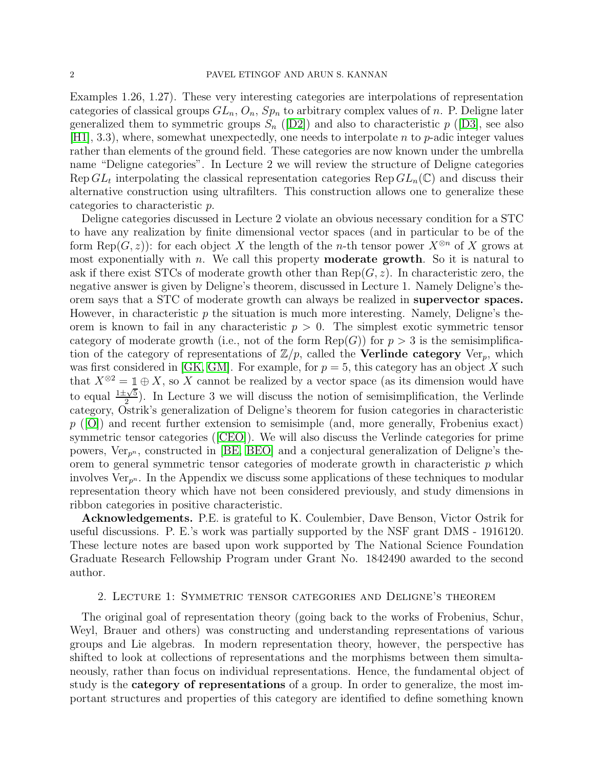Examples 1.26, 1.27). These very interesting categories are interpolations of representation categories of classical groups  $GL_n$ ,  $O_n$ ,  $Sp_n$  to arbitrary complex values of n. P. Deligne later generalized them to symmetric groups  $S_n$  ([\[D2\]](#page-33-0)) and also to characteristic  $p$  ([\[D3\]](#page-33-1), see also [\[H1\]](#page-33-2), 3.3), where, somewhat unexpectedly, one needs to interpolate n to p-adic integer values rather than elements of the ground field. These categories are now known under the umbrella name "Deligne categories". In Lecture 2 we will review the structure of Deligne categories Rep  $GL_t$  interpolating the classical representation categories Rep  $GL_n(\mathbb{C})$  and discuss their alternative construction using ultrafilters. This construction allows one to generalize these categories to characteristic p.

Deligne categories discussed in Lecture 2 violate an obvious necessary condition for a STC to have any realization by finite dimensional vector spaces (and in particular to be of the form Rep( $G, z$ ): for each object X the length of the *n*-th tensor power  $X^{\otimes n}$  of X grows at most exponentially with  $n$ . We call this property **moderate growth**. So it is natural to ask if there exist STCs of moderate growth other than  $\text{Rep}(G, z)$ . In characteristic zero, the negative answer is given by Deligne's theorem, discussed in Lecture 1. Namely Deligne's theorem says that a STC of moderate growth can always be realized in supervector spaces. However, in characteristic  $p$  the situation is much more interesting. Namely, Deligne's theorem is known to fail in any characteristic  $p > 0$ . The simplest exotic symmetric tensor category of moderate growth (i.e., not of the form  $\text{Rep}(G)$ ) for  $p > 3$  is the semisimplification of the category of representations of  $\mathbb{Z}/p$ , called the **Verlinde category** Ver<sub>p</sub>, which was first considered in [\[GK,](#page-33-3) [GM\]](#page-33-4). For example, for  $p = 5$ , this category has an object X such that  $X^{\otimes 2} = \mathbb{1} \oplus X$ , so X cannot be realized by a vector space (as its dimension would have to equal  $\frac{1\pm\sqrt{5}}{2}$  $\frac{2}{2}$ ). In Lecture 3 we will discuss the notion of semisimplification, the Verlinde category, Ostrik's generalization of Deligne's theorem for fusion categories in characteristic  $p$  ([\[O\]](#page-33-5)) and recent further extension to semisimple (and, more generally, Frobenius exact) symmetric tensor categories([\[CEO\]](#page-32-3)). We will also discuss the Verlinde categories for prime powers,  $Ver_{p^n}$ , constructed in [\[BE,](#page-32-4) [BEO\]](#page-32-5) and a conjectural generalization of Deligne's theorem to general symmetric tensor categories of moderate growth in characteristic  $p$  which involves  $Ver_{n^n}$ . In the Appendix we discuss some applications of these techniques to modular representation theory which have not been considered previously, and study dimensions in ribbon categories in positive characteristic.

Acknowledgements. P.E. is grateful to K. Coulembier, Dave Benson, Victor Ostrik for useful discussions. P. E.'s work was partially supported by the NSF grant DMS - 1916120. These lecture notes are based upon work supported by The National Science Foundation Graduate Research Fellowship Program under Grant No. 1842490 awarded to the second author.

### <span id="page-1-0"></span>2. Lecture 1: Symmetric tensor categories and Deligne's theorem

The original goal of representation theory (going back to the works of Frobenius, Schur, Weyl, Brauer and others) was constructing and understanding representations of various groups and Lie algebras. In modern representation theory, however, the perspective has shifted to look at collections of representations and the morphisms between them simultaneously, rather than focus on individual representations. Hence, the fundamental object of study is the category of representations of a group. In order to generalize, the most important structures and properties of this category are identified to define something known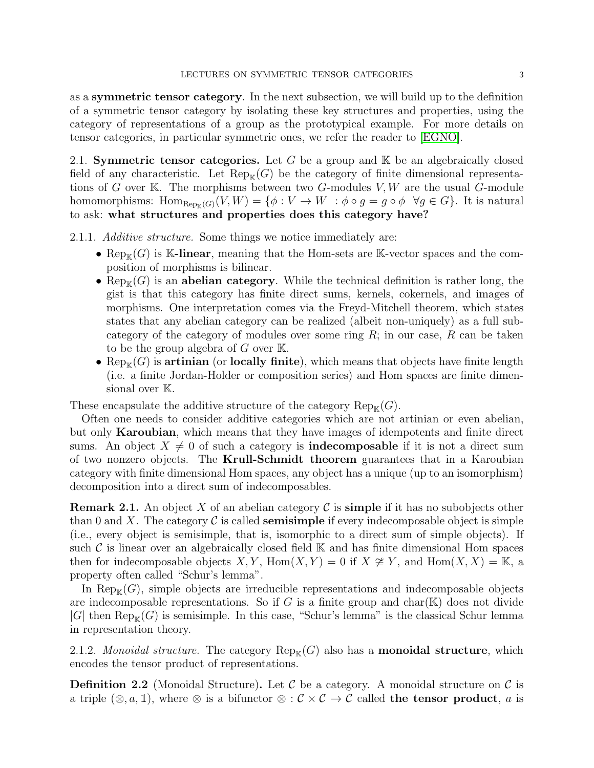as a symmetric tensor category. In the next subsection, we will build up to the definition of a symmetric tensor category by isolating these key structures and properties, using the category of representations of a group as the prototypical example. For more details on tensor categories, in particular symmetric ones, we refer the reader to [\[EGNO\]](#page-33-6).

2.1. Symmetric tensor categories. Let G be a group and  $K$  be an algebraically closed field of any characteristic. Let  $\text{Rep}_{\mathbb{K}}(G)$  be the category of finite dimensional representations of G over K. The morphisms between two G-modules  $V, W$  are the usual G-module homomorphisms:  $\text{Hom}_{\text{Rep}_{\mathbb{K}}(G)}(V, W) = \{ \phi : V \to W : \phi \circ g = g \circ \phi \ \forall g \in G \}.$  It is natural to ask: what structures and properties does this category have?

2.1.1. *Additive structure.* Some things we notice immediately are:

- Rep<sub>K</sub> $(G)$  is K-linear, meaning that the Hom-sets are K-vector spaces and the composition of morphisms is bilinear.
- Rep<sub>K</sub> $(G)$  is an **abelian category**. While the technical definition is rather long, the gist is that this category has finite direct sums, kernels, cokernels, and images of morphisms. One interpretation comes via the Freyd-Mitchell theorem, which states states that any abelian category can be realized (albeit non-uniquely) as a full subcategory of the category of modules over some ring  $R$ ; in our case,  $R$  can be taken to be the group algebra of  $G$  over  $\mathbb{K}$ .
- Rep<sub>K</sub> $(G)$  is artinian (or locally finite), which means that objects have finite length (i.e. a finite Jordan-Holder or composition series) and Hom spaces are finite dimensional over K.

These encapsulate the additive structure of the category  $\text{Rep}_{\mathbb{K}}(G)$ .

Often one needs to consider additive categories which are not artinian or even abelian, but only **Karoubian**, which means that they have images of idempotents and finite direct sums. An object  $X \neq 0$  of such a category is **indecomposable** if it is not a direct sum of two nonzero objects. The Krull-Schmidt theorem guarantees that in a Karoubian category with finite dimensional Hom spaces, any object has a unique (up to an isomorphism) decomposition into a direct sum of indecomposables.

**Remark 2.1.** An object X of an abelian category C is **simple** if it has no subobjects other than 0 and X. The category  $\mathcal C$  is called **semisimple** if every indecomposable object is simple (i.e., every object is semisimple, that is, isomorphic to a direct sum of simple objects). If such  $\mathcal C$  is linear over an algebraically closed field  $\mathbb K$  and has finite dimensional Hom spaces then for indecomposable objects  $X, Y$ ,  $\text{Hom}(X, Y) = 0$  if  $X \not\cong Y$ , and  $\text{Hom}(X, X) = \mathbb{K}$ , a property often called "Schur's lemma".

In  $\text{Rep}_{\mathbb{K}}(G)$ , simple objects are irreducible representations and indecomposable objects are indecomposable representations. So if G is a finite group and char( $K$ ) does not divide  $|G|$  then  $\text{Rep}_{\mathbb{K}}(G)$  is semisimple. In this case, "Schur's lemma" is the classical Schur lemma in representation theory.

2.1.2. *Monoidal structure.* The category  $\text{Rep}_\mathbb{K}(G)$  also has a **monoidal structure**, which encodes the tensor product of representations.

**Definition 2.2** (Monoidal Structure). Let C be a category. A monoidal structure on C is a triple  $(\otimes, a, \mathbb{1})$ , where  $\otimes$  is a bifunctor  $\otimes : \mathcal{C} \times \mathcal{C} \to \mathcal{C}$  called the tensor product, a is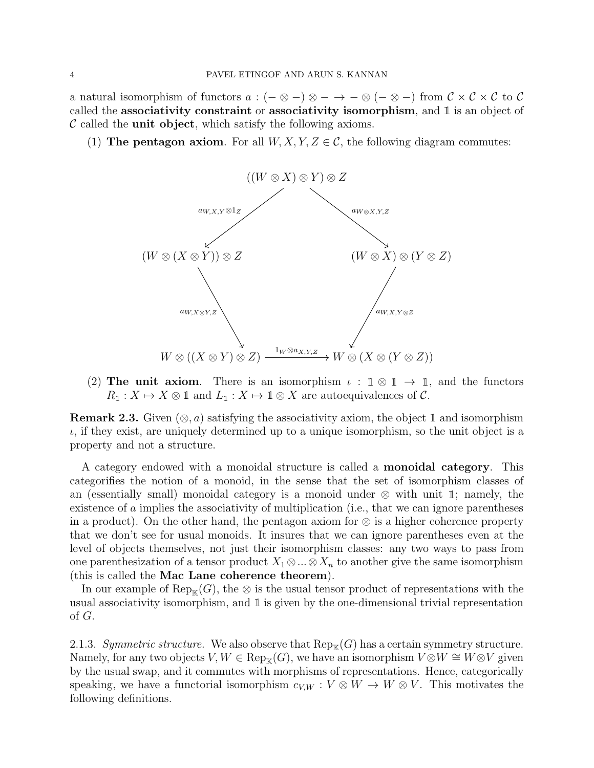a natural isomorphism of functors  $a: (-\otimes -)\otimes - \to -\otimes (-\otimes -)$  from  $\mathcal{C}\times\mathcal{C}\times\mathcal{C}$  to  $\mathcal{C}$ called the associativity constraint or associativity isomorphism, and  $\mathbbm{1}$  is an object of  $\mathcal C$  called the **unit object**, which satisfy the following axioms.

(1) The pentagon axiom. For all  $W, X, Y, Z \in \mathcal{C}$ , the following diagram commutes:



(2) The unit axiom. There is an isomorphism  $\iota : \mathbb{1} \otimes \mathbb{1} \to \mathbb{1}$ , and the functors  $R_1 : X \mapsto X \otimes \mathbb{1}$  and  $L_1 : X \mapsto \mathbb{1} \otimes X$  are autoequivalences of  $C$ .

**Remark 2.3.** Given  $(\otimes, a)$  satisfying the associativity axiom, the object 1 and isomorphism  $\iota$ , if they exist, are uniquely determined up to a unique isomorphism, so the unit object is a property and not a structure.

A category endowed with a monoidal structure is called a monoidal category. This categorifies the notion of a monoid, in the sense that the set of isomorphism classes of an (essentially small) monoidal category is a monoid under  $\otimes$  with unit 1; namely, the existence of a implies the associativity of multiplication (i.e., that we can ignore parentheses in a product). On the other hand, the pentagon axiom for ⊗ is a higher coherence property that we don't see for usual monoids. It insures that we can ignore parentheses even at the level of objects themselves, not just their isomorphism classes: any two ways to pass from one parenthesization of a tensor product  $X_1 \otimes ... \otimes X_n$  to another give the same isomorphism (this is called the Mac Lane coherence theorem).

In our example of  $\text{Rep}_{\mathbb{K}}(G)$ , the ⊗ is the usual tensor product of representations with the usual associativity isomorphism, and  $\mathbbm{1}$  is given by the one-dimensional trivial representation of G.

<span id="page-3-0"></span>2.1.3. *Symmetric structure.* We also observe that  $\text{Rep}_{\mathbb{K}}(G)$  has a certain symmetry structure. Namely, for any two objects  $V, W \in \text{Rep}_{\mathbb{K}}(G)$ , we have an isomorphism  $V \otimes W \cong W \otimes V$  given by the usual swap, and it commutes with morphisms of representations. Hence, categorically speaking, we have a functorial isomorphism  $c_{V,W}: V \otimes W \to W \otimes V$ . This motivates the following definitions.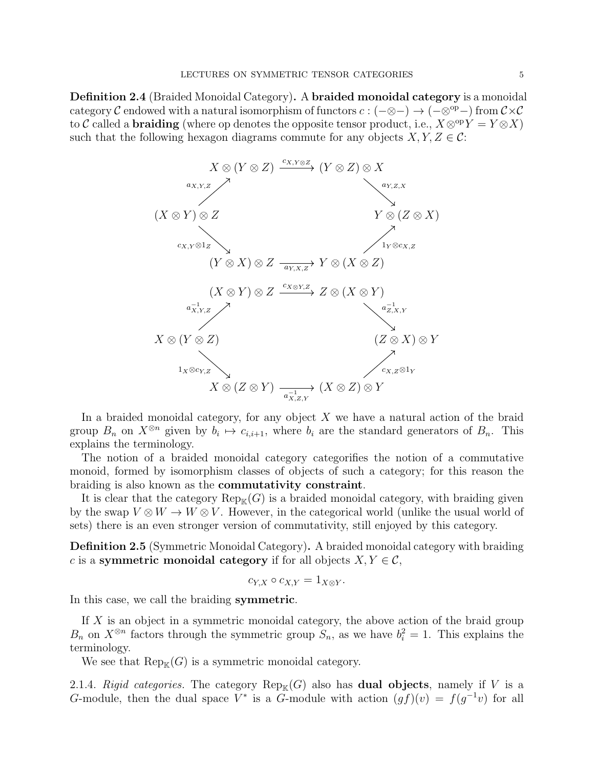Definition 2.4 (Braided Monoidal Category). A braided monoidal category is a monoidal category C endowed with a natural isomorphism of functors  $c : (-\otimes -) \to (-\otimes^{\text{op}}-)$  from  $\mathcal{C} \times \mathcal{C}$ to C called a **braiding** (where op denotes the opposite tensor product, i.e.,  $X \otimes^{\text{op}} Y = Y \otimes X$ ) such that the following hexagon diagrams commute for any objects  $X, Y, Z \in \mathcal{C}$ :



In a braided monoidal category, for any object  $X$  we have a natural action of the braid group  $B_n$  on  $X^{\otimes n}$  given by  $b_i \mapsto c_{i,i+1}$ , where  $b_i$  are the standard generators of  $B_n$ . This explains the terminology.

The notion of a braided monoidal category categorifies the notion of a commutative monoid, formed by isomorphism classes of objects of such a category; for this reason the braiding is also known as the commutativity constraint.

It is clear that the category  $\text{Rep}_{\mathbb{K}}(G)$  is a braided monoidal category, with braiding given by the swap  $V \otimes W \to W \otimes V$ . However, in the categorical world (unlike the usual world of sets) there is an even stronger version of commutativity, still enjoyed by this category.

Definition 2.5 (Symmetric Monoidal Category). A braided monoidal category with braiding c is a symmetric monoidal category if for all objects  $X, Y \in \mathcal{C}$ ,

$$
c_{Y,X}\circ c_{X,Y}=1_{X\otimes Y}.
$$

In this case, we call the braiding symmetric.

If X is an object in a symmetric monoidal category, the above action of the braid group  $B_n$  on  $X^{\otimes n}$  factors through the symmetric group  $S_n$ , as we have  $b_i^2 = 1$ . This explains the terminology.

We see that  $\text{Rep}_{\mathbb{K}}(G)$  is a symmetric monoidal category.

2.1.4. *Rigid categories*. The category  $\text{Rep}_{\mathbb{K}}(G)$  also has **dual objects**, namely if V is a G-module, then the dual space  $V^*$  is a G-module with action  $(gf)(v) = f(g^{-1}v)$  for all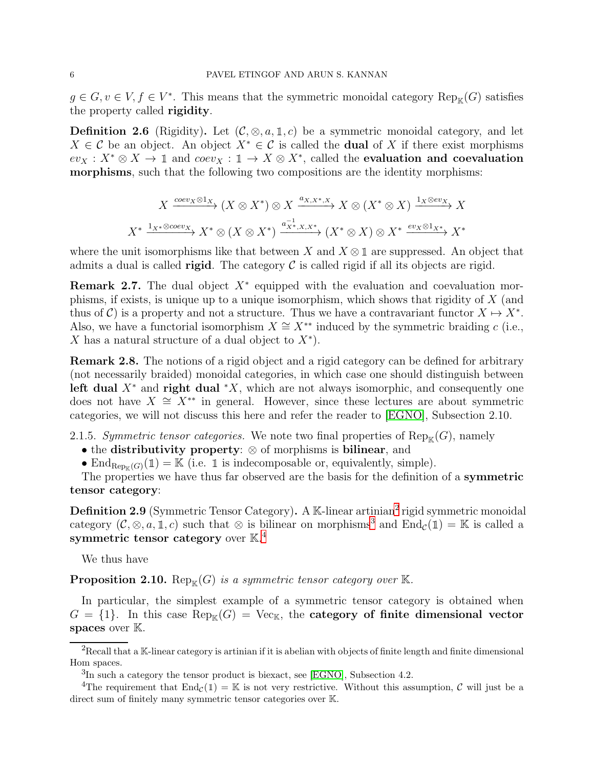$g \in G, v \in V, f \in V^*$ . This means that the symmetric monoidal category  $\text{Rep}_{\mathbb{K}}(G)$  satisfies the property called rigidity.

**Definition 2.6** (Rigidity). Let  $(C, \otimes, a, 1, c)$  be a symmetric monoidal category, and let  $X \in \mathcal{C}$  be an object. An object  $X^* \in \mathcal{C}$  is called the **dual** of X if there exist morphisms  $ev_X: X^* \otimes X \to \mathbb{1}$  and  $coev_X: \mathbb{1} \to X \otimes X^*$ , called the evaluation and coevaluation morphisms, such that the following two compositions are the identity morphisms:

$$
X \xrightarrow{coev_X \otimes 1_X} (X \otimes X^*) \otimes X \xrightarrow{a_{X,X^*,X}} X \otimes (X^* \otimes X) \xrightarrow{1_X \otimes ev_X} X
$$
  

$$
X^* \xrightarrow{1_{X^*} \otimes coev_X} X^* \otimes (X \otimes X^*) \xrightarrow{a_{X^*,X,X^*}^{-1}} (X^* \otimes X) \otimes X^* \xrightarrow{ev_X \otimes 1_{X^*}} X^*
$$

where the unit isomorphisms like that between X and  $X \otimes \mathbb{1}$  are suppressed. An object that admits a dual is called **rigid**. The category  $\mathcal C$  is called rigid if all its objects are rigid.

**Remark 2.7.** The dual object  $X^*$  equipped with the evaluation and coevaluation morphisms, if exists, is unique up to a unique isomorphism, which shows that rigidity of X (and thus of C) is a property and not a structure. Thus we have a contravariant functor  $X \mapsto X^*$ . Also, we have a functorial isomorphism  $X \cong X^{**}$  induced by the symmetric braiding c (i.e., X has a natural structure of a dual object to  $X^*$ ).

Remark 2.8. The notions of a rigid object and a rigid category can be defined for arbitrary (not necessarily braided) monoidal categories, in which case one should distinguish between left dual  $X^*$  and right dual  $^*X$ , which are not always isomorphic, and consequently one does not have  $X \cong X^{**}$  in general. However, since these lectures are about symmetric categories, we will not discuss this here and refer the reader to [\[EGNO\]](#page-33-6), Subsection 2.10.

2.1.5. *Symmetric tensor categories*. We note two final properties of  $\text{Rep}_\mathbb{K}(G)$ , namely

• the distributivity property: ⊗ of morphisms is bilinear, and

• End<sub>Rep<sub>K(G)</sub>(1) = K (i.e. 1 is indecomposable or, equivalently, simple).</sub>

The properties we have thus far observed are the basis for the definition of a symmetric tensor category:

**Definition [2](#page-5-0).9** (Symmetric Tensor Category). A K-linear artinian<sup>2</sup> rigid symmetric monoidal category  $(C, \otimes, a, \mathbb{1}, c)$  such that  $\otimes$  is bilinear on morphisms<sup>[3](#page-5-1)</sup> and  $\text{End}_{\mathcal{C}}(\mathbb{1}) = \mathbb{K}$  is called a symmetric tensor category over  $\mathbb{K}^4$  $\mathbb{K}^4$ 

We thus have

**Proposition 2.10.** Rep<sub>K</sub> $(G)$  *is a symmetric tensor category over* K.

In particular, the simplest example of a symmetric tensor category is obtained when  $G = \{1\}$ . In this case  $\text{Rep}_{\mathbb{K}}(G) = \text{Vec}_{\mathbb{K}}$ , the **category of finite dimensional vector** spaces over  $K$ .

 ${}^{2}$ Recall that a K-linear category is artinian if it is abelian with objects of finite length and finite dimensional Hom spaces.

<span id="page-5-1"></span><span id="page-5-0"></span> ${}^{3}\text{In}$  such a category the tensor product is biexact, see [\[EGNO\]](#page-33-6), Subsection 4.2.

<span id="page-5-2"></span><sup>&</sup>lt;sup>4</sup>The requirement that  $\text{End}_{\mathcal{C}}(\mathbb{1}) = \mathbb{K}$  is not very restrictive. Without this assumption,  $\mathcal{C}$  will just be a direct sum of finitely many symmetric tensor categories over K.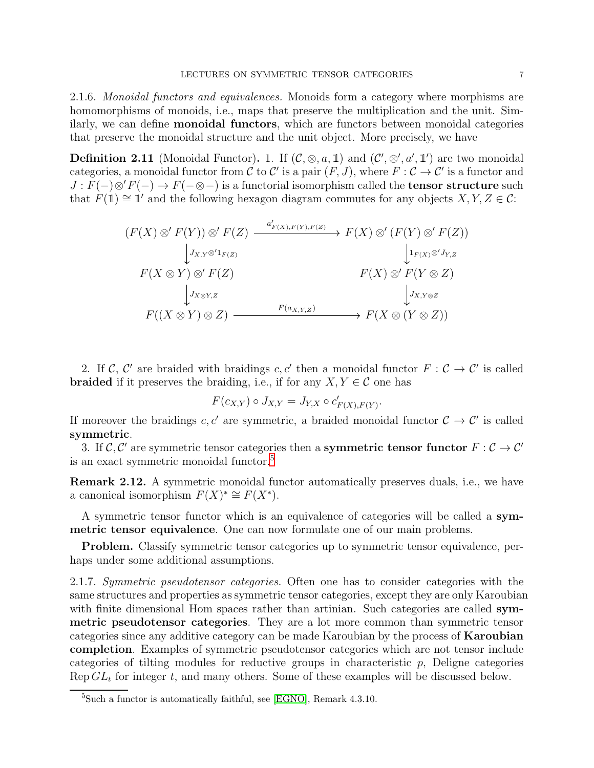2.1.6. *Monoidal functors and equivalences.* Monoids form a category where morphisms are homomorphisms of monoids, i.e., maps that preserve the multiplication and the unit. Similarly, we can define monoidal functors, which are functors between monoidal categories that preserve the monoidal structure and the unit object. More precisely, we have

**Definition 2.11** (Monoidal Functor). 1. If  $(C, \otimes, a, \mathbb{1})$  and  $(C', \otimes', a', \mathbb{1}')$  are two monoidal categories, a monoidal functor from C to C' is a pair  $(F, J)$ , where  $F : C \to C'$  is a functor and  $J: F(-) \otimes' F(-) \to F(- \otimes -)$  is a functorial isomorphism called the **tensor structure** such that  $F(\mathbb{1}) \cong \mathbb{1}'$  and the following hexagon diagram commutes for any objects  $X, Y, Z \in \mathcal{C}$ :

$$
(F(X) \otimes' F(Y)) \otimes' F(Z) \xrightarrow{a'_{F(X),F(Y),F(Z)}} F(X) \otimes' (F(Y) \otimes' F(Z))
$$
  
\n
$$
\downarrow J_{X,Y} \otimes' 1_{F(Z)} \qquad \qquad \downarrow I_{F(X)} \otimes' J_{Y,Z}
$$
  
\n
$$
F(X \otimes Y) \otimes' F(Z) \qquad \qquad F(X) \otimes' F(Y \otimes Z)
$$
  
\n
$$
\downarrow J_{X \otimes Y,Z} \qquad \qquad J_{X,Y \otimes Z}
$$
  
\n
$$
F((X \otimes Y) \otimes Z) \xrightarrow{F(a_{X,Y,Z})} F(X \otimes (Y \otimes Z))
$$

2. If  $\mathcal{C}, \mathcal{C}'$  are braided with braidings  $c, c'$  then a monoidal functor  $F : \mathcal{C} \to \mathcal{C}'$  is called **braided** if it preserves the braiding, i.e., if for any  $X, Y \in \mathcal{C}$  one has

$$
F(c_{X,Y}) \circ J_{X,Y} = J_{Y,X} \circ c'_{F(X),F(Y)}.
$$

If moreover the braidings  $c, c'$  are symmetric, a braided monoidal functor  $\mathcal{C} \to \mathcal{C}'$  is called symmetric.

3. If  $\mathcal{C}, \mathcal{C}'$  are symmetric tensor categories then a **symmetric tensor functor**  $F : \mathcal{C} \to \mathcal{C}'$ is an exact symmetric monoidal functor.<sup>[5](#page-6-0)</sup>

Remark 2.12. A symmetric monoidal functor automatically preserves duals, i.e., we have a canonical isomorphism  $F(X)^* \cong F(X^*).$ 

A symmetric tensor functor which is an equivalence of categories will be called a symmetric tensor equivalence. One can now formulate one of our main problems.

Problem. Classify symmetric tensor categories up to symmetric tensor equivalence, perhaps under some additional assumptions.

2.1.7. *Symmetric pseudotensor categories.* Often one has to consider categories with the same structures and properties as symmetric tensor categories, except they are only Karoubian with finite dimensional Hom spaces rather than artinian. Such categories are called symmetric pseudotensor categories. They are a lot more common than symmetric tensor categories since any additive category can be made Karoubian by the process of Karoubian completion. Examples of symmetric pseudotensor categories which are not tensor include categories of tilting modules for reductive groups in characteristic  $p$ , Deligne categories Rep  $GL_t$  for integer t, and many others. Some of these examples will be discussed below.

<span id="page-6-0"></span> ${}^{5}$ Such a functor is automatically faithful, see [\[EGNO\]](#page-33-6), Remark 4.3.10.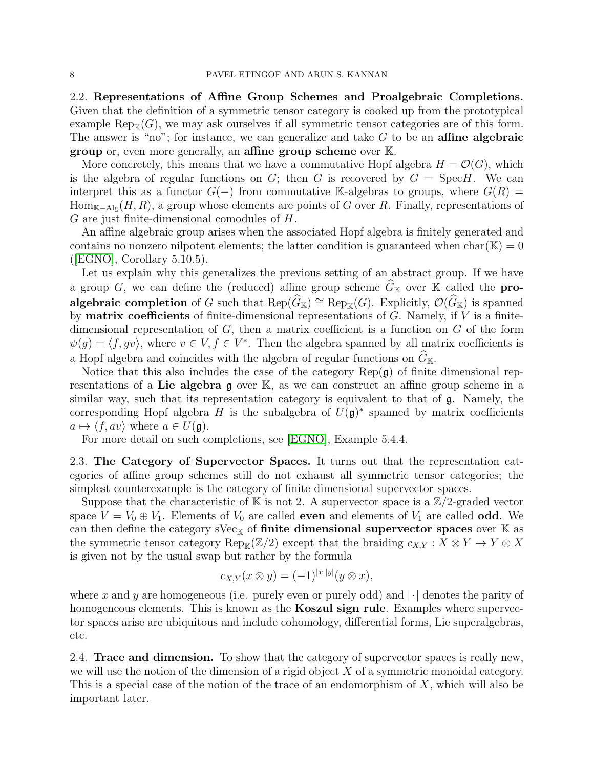2.2. Representations of Affine Group Schemes and Proalgebraic Completions. Given that the definition of a symmetric tensor category is cooked up from the prototypical example  $\text{Rep}_{\mathbb{K}}(G)$ , we may ask ourselves if all symmetric tensor categories are of this form. The answer is "no"; for instance, we can generalize and take  $G$  to be an **affine algebraic** group or, even more generally, an affine group scheme over K.

More concretely, this means that we have a commutative Hopf algebra  $H = \mathcal{O}(G)$ , which is the algebra of regular functions on  $G$ ; then  $G$  is recovered by  $G = \text{Spec } H$ . We can interpret this as a functor  $G(-)$  from commutative K-algebras to groups, where  $G(R)$  =  $Hom_{K-Alg}(H, R)$ , a group whose elements are points of G over R. Finally, representations of G are just finite-dimensional comodules of H.

An affine algebraic group arises when the associated Hopf algebra is finitely generated and contains no nonzero nilpotent elements; the latter condition is guaranteed when  $char(\mathbb{K}) = 0$  $(EGNO],$  Corollary 5.10.5).

Let us explain why this generalizes the previous setting of an abstract group. If we have a group G, we can define the (reduced) affine group scheme  $\widehat{G}_{\mathbb{K}}$  over K called the **pro**algebraic completion of G such that  $\text{Rep}(\widehat{G}_{\mathbb{K}}) \cong \text{Rep}_{\mathbb{K}}(G)$ . Explicitly,  $\mathcal{O}(\widehat{G}_{\mathbb{K}})$  is spanned by **matrix coefficients** of finite-dimensional representations of  $G$ . Namely, if  $V$  is a finitedimensional representation of  $G$ , then a matrix coefficient is a function on  $G$  of the form  $\psi(g) = \langle f, gv \rangle$ , where  $v \in V, f \in V^*$ . Then the algebra spanned by all matrix coefficients is a Hopf algebra and coincides with the algebra of regular functions on  $\widehat{G}_{\mathbb K}.$ 

Notice that this also includes the case of the category  $\text{Rep}(\mathfrak{g})$  of finite dimensional representations of a Lie algebra  $\alpha$  over K, as we can construct an affine group scheme in a similar way, such that its representation category is equivalent to that of g. Namely, the corresponding Hopf algebra H is the subalgebra of  $U(\mathfrak{g})^*$  spanned by matrix coefficients  $a \mapsto \langle f, av \rangle$  where  $a \in U(\mathfrak{g})$ .

For more detail on such completions, see [\[EGNO\]](#page-33-6), Example 5.4.4.

<span id="page-7-0"></span>2.3. The Category of Supervector Spaces. It turns out that the representation categories of affine group schemes still do not exhaust all symmetric tensor categories; the simplest counterexample is the category of finite dimensional supervector spaces.

Suppose that the characteristic of K is not 2. A supervector space is a  $\mathbb{Z}/2$ -graded vector space  $V = V_0 \oplus V_1$ . Elements of  $V_0$  are called **even** and elements of  $V_1$  are called **odd**. We can then define the category sVec<sub>K</sub> of **finite dimensional supervector spaces** over  $K$  as the symmetric tensor category Rep<sub>K</sub>( $\mathbb{Z}/2$ ) except that the braiding  $c_{X,Y}: X \otimes Y \to Y \otimes X$ is given not by the usual swap but rather by the formula

$$
c_{X,Y}(x\otimes y)=(-1)^{|x||y|}(y\otimes x),
$$

where x and y are homogeneous (i.e. purely even or purely odd) and  $\lvert \cdot \rvert$  denotes the parity of homogeneous elements. This is known as the **Koszul sign rule**. Examples where supervector spaces arise are ubiquitous and include cohomology, differential forms, Lie superalgebras, etc.

2.4. **Trace and dimension.** To show that the category of supervector spaces is really new, we will use the notion of the dimension of a rigid object  $X$  of a symmetric monoidal category. This is a special case of the notion of the trace of an endomorphism of X, which will also be important later.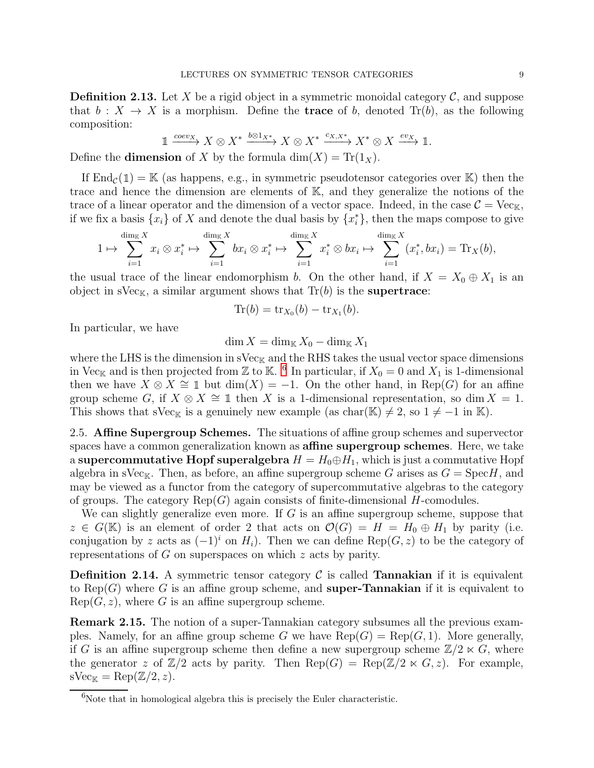**Definition 2.13.** Let X be a rigid object in a symmetric monoidal category  $\mathcal{C}$ , and suppose that  $b: X \to X$  is a morphism. Define the **trace** of b, denoted  $\text{Tr}(b)$ , as the following composition:

$$
\mathbb{1} \xrightarrow{coev_X} X \otimes X^* \xrightarrow{b \otimes 1_{X^*}} X \otimes X^* \xrightarrow{c_{X,X^*}} X^* \otimes X \xrightarrow{ev_X} \mathbb{1}.
$$

Define the **dimension** of X by the formula  $dim(X) = Tr(1_X)$ .

If  $\text{End}_{\mathcal{C}}(\mathbb{1}) = \mathbb{K}$  (as happens, e.g., in symmetric pseudotensor categories over  $\mathbb{K}$ ) then the trace and hence the dimension are elements of K, and they generalize the notions of the trace of a linear operator and the dimension of a vector space. Indeed, in the case  $\mathcal{C} = \text{Vec}_{K}$ , if we fix a basis  $\{x_i\}$  of X and denote the dual basis by  $\{x_i^*\}$ , then the maps compose to give

$$
1 \mapsto \sum_{i=1}^{\dim_K X} x_i \otimes x_i^* \mapsto \sum_{i=1}^{\dim_K X} bx_i \otimes x_i^* \mapsto \sum_{i=1}^{\dim_K X} x_i^* \otimes bx_i \mapsto \sum_{i=1}^{\dim_K X} (x_i^*, bx_i) = \mathrm{Tr}_X(b),
$$

the usual trace of the linear endomorphism b. On the other hand, if  $X = X_0 \oplus X_1$  is an object in  $sVec_{K}$ , a similar argument shows that  $Tr(b)$  is the **supertrace**:

$$
\mathrm{Tr}(b) = \mathrm{tr}_{X_0}(b) - \mathrm{tr}_{X_1}(b).
$$

In particular, we have

 $\dim X = \dim_{\mathbb{K}} X_0 - \dim_{\mathbb{K}} X_1$ 

where the LHS is the dimension in  $\text{sVec}_{K}$  and the RHS takes the usual vector space dimensions in Vec<sub>K</sub> and is then projected from Z to K. <sup>[6](#page-8-0)</sup> In particular, if  $X_0 = 0$  and  $X_1$  is 1-dimensional then we have  $X \otimes X \cong \mathbb{1}$  but  $\dim(X) = -1$ . On the other hand, in Rep(G) for an affine group scheme G, if  $X \otimes X \cong \mathbb{1}$  then X is a 1-dimensional representation, so dim  $X = 1$ . This shows that sVec<sub>K</sub> is a genuinely new example (as char(K)  $\neq 2$ , so  $1 \neq -1$  in K).

2.5. Affine Supergroup Schemes. The situations of affine group schemes and supervector spaces have a common generalization known as **affine supergroup schemes**. Here, we take a supercommutative Hopf superalgebra  $H = H_0 \oplus H_1$ , which is just a commutative Hopf algebra in sVec<sub>K</sub>. Then, as before, an affine supergroup scheme G arises as  $G = \text{Spec} H$ , and may be viewed as a functor from the category of supercommutative algebras to the category of groups. The category  $\text{Rep}(G)$  again consists of finite-dimensional H-comodules.

We can slightly generalize even more. If  $G$  is an affine supergroup scheme, suppose that  $z \in G(\mathbb{K})$  is an element of order 2 that acts on  $\mathcal{O}(G) = H = H_0 \oplus H_1$  by parity (i.e. conjugation by z acts as  $(-1)^i$  on  $H_i$ ). Then we can define Rep( $G, z$ ) to be the category of representations of G on superspaces on which z acts by parity.

**Definition 2.14.** A symmetric tensor category  $\mathcal{C}$  is called **Tannakian** if it is equivalent to Rep(G) where G is an affine group scheme, and **super-Tannakian** if it is equivalent to  $Rep(G, z)$ , where G is an affine supergroup scheme.

Remark 2.15. The notion of a super-Tannakian category subsumes all the previous examples. Namely, for an affine group scheme G we have  $\text{Rep}(G) = \text{Rep}(G, 1)$ . More generally, if G is an affine supergroup scheme then define a new supergroup scheme  $\mathbb{Z}/2 \ltimes G$ , where the generator z of  $\mathbb{Z}/2$  acts by parity. Then  $\text{Rep}(G) = \text{Rep}(\mathbb{Z}/2 \ltimes G, z)$ . For example,  $sVec_{K} = Rep(\mathbb{Z}/2, z).$ 

<span id="page-8-0"></span> ${}^{6}$ Note that in homological algebra this is precisely the Euler characteristic.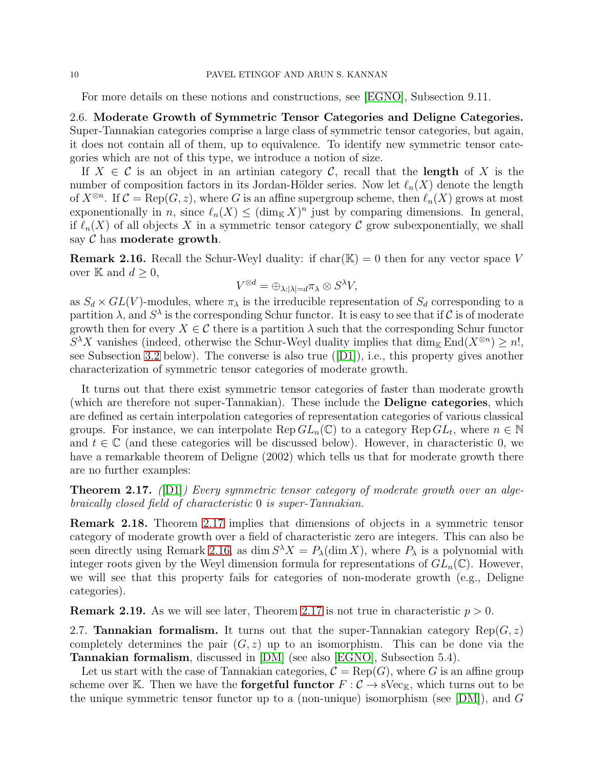For more details on these notions and constructions, see [\[EGNO\]](#page-33-6), Subsection 9.11.

2.6. Moderate Growth of Symmetric Tensor Categories and Deligne Categories. Super-Tannakian categories comprise a large class of symmetric tensor categories, but again, it does not contain all of them, up to equivalence. To identify new symmetric tensor categories which are not of this type, we introduce a notion of size.

If  $X \in \mathcal{C}$  is an object in an artinian category  $\mathcal{C}$ , recall that the **length** of X is the number of composition factors in its Jordan-Hölder series. Now let  $\ell_n(X)$  denote the length of  $X^{\otimes n}$ . If  $\mathcal{C} = \text{Rep}(G, z)$ , where G is an affine supergroup scheme, then  $\ell_n(X)$  grows at most exponentionally in n, since  $\ell_n(X) \leq (\dim_{\mathbb{K}} X)^n$  just by comparing dimensions. In general, if  $\ell_n(X)$  of all objects X in a symmetric tensor category C grow subexponentially, we shall say  $\mathcal C$  has moderate growth.

<span id="page-9-1"></span>**Remark 2.16.** Recall the Schur-Weyl duality: if char( $\mathbb{K}$ ) = 0 then for any vector space V over K and  $d \geq 0$ ,

$$
V^{\otimes d} = \oplus_{\lambda:|\lambda|=d} \pi_{\lambda} \otimes S^{\lambda} V,
$$

as  $S_d \times GL(V)$ -modules, where  $\pi_{\lambda}$  is the irreducible representation of  $S_d$  corresponding to a partition  $\lambda$ , and  $S^{\lambda}$  is the corresponding Schur functor. It is easy to see that if C is of moderate growth then for every  $X \in \mathcal{C}$  there is a partition  $\lambda$  such that the corresponding Schur functor  $S^{\lambda}X$  vanishes (indeed, otherwise the Schur-Weyl duality implies that dim<sub>K</sub> End( $X^{\otimes n}$ ) ≥ n!, see Subsection [3.2](#page-13-0) below). The converse is also true([\[D1\]](#page-32-1)), i.e., this property gives another characterization of symmetric tensor categories of moderate growth.

It turns out that there exist symmetric tensor categories of faster than moderate growth (which are therefore not super-Tannakian). These include the Deligne categories, which are defined as certain interpolation categories of representation categories of various classical groups. For instance, we can interpolate  $\text{Rep } GL_n(\mathbb{C})$  to a category  $\text{Rep } GL_t$ , where  $n \in \mathbb{N}$ and  $t \in \mathbb{C}$  (and these categories will be discussed below). However, in characteristic 0, we have a remarkable theorem of Deligne (2002) which tells us that for moderate growth there are no further examples:

<span id="page-9-0"></span>Theorem 2.17. *(*[\[D1\]](#page-32-1)*) Every symmetric tensor category of moderate growth over an algebraically closed field of characteristic* 0 *is super-Tannakian.*

<span id="page-9-2"></span>Remark 2.18. Theorem [2.17](#page-9-0) implies that dimensions of objects in a symmetric tensor category of moderate growth over a field of characteristic zero are integers. This can also be seen directly using Remark [2.16,](#page-9-1) as  $\dim S^{\lambda}X = P_{\lambda}(\dim X)$ , where  $P_{\lambda}$  is a polynomial with integer roots given by the Weyl dimension formula for representations of  $GL_n(\mathbb{C})$ . However, we will see that this property fails for categories of non-moderate growth (e.g., Deligne categories).

**Remark 2.19.** As we will see later, Theorem [2.17](#page-9-0) is not true in characteristic  $p > 0$ .

2.7. **Tannakian formalism.** It turns out that the super-Tannakian category Rep( $G, z$ ) completely determines the pair  $(G, z)$  up to an isomorphism. This can be done via the Tannakian formalism, discussed in [\[DM\]](#page-32-2) (see also [\[EGNO\]](#page-33-6), Subsection 5.4).

Let us start with the case of Tannakian categories,  $C = \text{Rep}(G)$ , where G is an affine group scheme over K. Then we have the **forgetful functor**  $F : C \to \text{SVec}_K$ , which turns out to be the unique symmetric tensor functor up to a (non-unique) isomorphism (see [\[DM\]](#page-32-2)), and G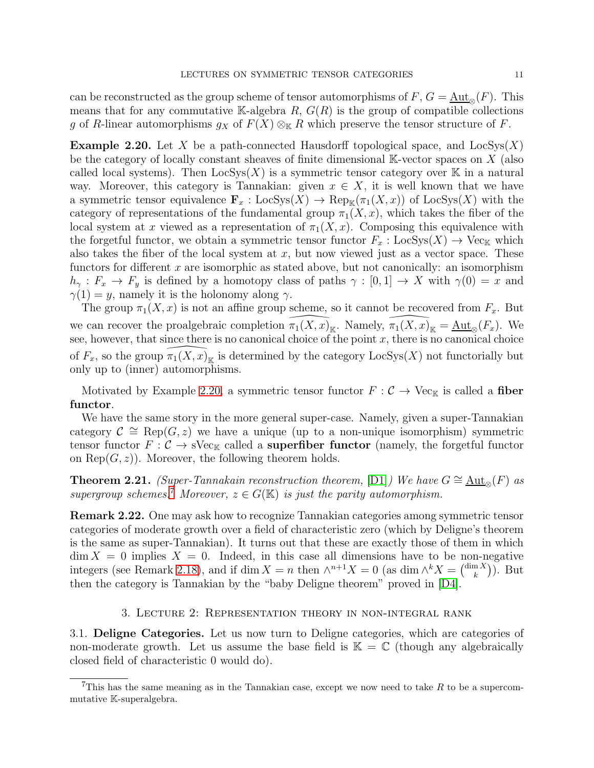can be reconstructed as the group scheme of tensor automorphisms of  $F, G = \text{Aut}_{\infty}(F)$ . This means that for any commutative K-algebra  $R$ ,  $G(R)$  is the group of compatible collections g of R-linear automorphisms  $g_X$  of  $F(X) \otimes_{\mathbb{K}} R$  which preserve the tensor structure of F.

<span id="page-10-1"></span>**Example 2.20.** Let X be a path-connected Hausdorff topological space, and  $\text{LocSys}(X)$ be the category of locally constant sheaves of finite dimensional  $\mathbb{K}\text{-vector spaces on }X$  (also called local systems). Then  $\text{LocSys}(X)$  is a symmetric tensor category over K in a natural way. Moreover, this category is Tannakian: given  $x \in X$ , it is well known that we have a symmetric tensor equivalence  $\mathbf{F}_x : \text{LocSys}(X) \to \text{Rep}_{\mathbb{K}}(\pi_1(X, x))$  of  $\text{LocSys}(X)$  with the category of representations of the fundamental group  $\pi_1(X, x)$ , which takes the fiber of the local system at x viewed as a representation of  $\pi_1(X, x)$ . Composing this equivalence with the forgetful functor, we obtain a symmetric tensor functor  $F_x : \text{LocSys}(X) \to \text{Vec}_{\mathbb{K}}$  which also takes the fiber of the local system at  $x$ , but now viewed just as a vector space. These functors for different x are isomorphic as stated above, but not canonically: an isomorphism  $h_{\gamma}: F_x \to F_y$  is defined by a homotopy class of paths  $\gamma: [0,1] \to X$  with  $\gamma(0) = x$  and  $\gamma(1) = y$ , namely it is the holonomy along  $\gamma$ .

The group  $\pi_1(X, x)$  is not an affine group scheme, so it cannot be recovered from  $F_x$ . But we can recover the proalgebraic completion  $\pi_1(X, x)_{\mathbb{K}}$ . Namely,  $\pi_1(X, x)_{\mathbb{K}} = \underline{\text{Aut}}_{\otimes}(F_x)$ . We see, however, that since there is no canonical choice of the point  $x$ , there is no canonical choice of  $F_x$ , so the group  $\pi_1(X, x)_{\mathbb{K}}$  is determined by the category  $\text{LocSys}(X)$  not functorially but only up to (inner) automorphisms.

Motivated by Example [2.20,](#page-10-1) a symmetric tensor functor  $F : C \to \text{Vec}_{K}$  is called a fiber functor.

We have the same story in the more general super-case. Namely, given a super-Tannakian category  $\mathcal{C} \cong \text{Rep}(G, z)$  we have a unique (up to a non-unique isomorphism) symmetric tensor functor  $F: \mathcal{C} \to \mathrm{sVec}_{\mathbb{K}}$  called a **superfiber functor** (namely, the forgetful functor on  $\text{Rep}(G, z)$ . Moreover, the following theorem holds.

**Theorem 2.21.** *(Super-Tannakain reconstruction theorem,* [\[D1\]](#page-32-1)*)* We have  $G \cong \underline{\text{Aut}}_{\infty}(F)$  *as supergroup schemes.*<sup>[7](#page-10-2)</sup> *Moreover,*  $z \in G(\mathbb{K})$  *is just the parity automorphism.* 

Remark 2.22. One may ask how to recognize Tannakian categories among symmetric tensor categories of moderate growth over a field of characteristic zero (which by Deligne's theorem is the same as super-Tannakian). It turns out that these are exactly those of them in which  $\dim X = 0$  implies  $X = 0$ . Indeed, in this case all dimensions have to be non-negative integers (see Remark [2.18\)](#page-9-2), and if dim  $X = n$  then  $\wedge^{n+1} X = 0$  (as dim  $\wedge^k X = \begin{pmatrix} \dim X \\ k \end{pmatrix}$  $\binom{n X}{k}$ ). But then the category is Tannakian by the "baby Deligne theorem" proved in [\[D4\]](#page-33-7).

## 3. Lecture 2: Representation theory in non-integral rank

<span id="page-10-0"></span>3.1. Deligne Categories. Let us now turn to Deligne categories, which are categories of non-moderate growth. Let us assume the base field is  $\mathbb{K} = \mathbb{C}$  (though any algebraically closed field of characteristic 0 would do).

<span id="page-10-2"></span>This has the same meaning as in the Tannakian case, except we now need to take R to be a supercommutative K-superalgebra.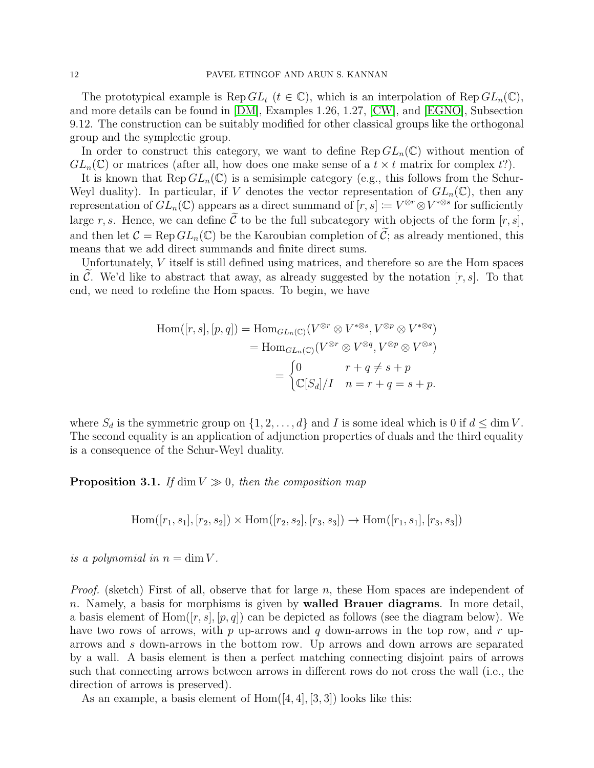The prototypical example is  $\text{Rep } GL_t$   $(t \in \mathbb{C})$ , which is an interpolation of  $\text{Rep } GL_n(\mathbb{C})$ , and more details can be found in [\[DM\]](#page-32-2), Examples 1.26, 1.27, [\[CW\]](#page-32-6), and [\[EGNO\]](#page-33-6), Subsection 9.12. The construction can be suitably modified for other classical groups like the orthogonal group and the symplectic group.

In order to construct this category, we want to define  $\text{Rep }GL_n(\mathbb{C})$  without mention of  $GL_n(\mathbb{C})$  or matrices (after all, how does one make sense of a  $t \times t$  matrix for complex t?).

It is known that  $\text{Rep } GL_n(\mathbb{C})$  is a semisimple category (e.g., this follows from the Schur-Weyl duality). In particular, if V denotes the vector representation of  $GL_n(\mathbb{C})$ , then any representation of  $GL_n(\mathbb{C})$  appears as a direct summand of  $[r, s] \coloneqq V^{\otimes r} \otimes V^{*\otimes s}$  for sufficiently large r, s. Hence, we can define  $\tilde{\mathcal{C}}$  to be the full subcategory with objects of the form  $[r, s]$ , and then let  $\mathcal{C} = \text{Rep } GL_n(\mathbb{C})$  be the Karoubian completion of  $\tilde{\mathcal{C}}$ ; as already mentioned, this means that we add direct summands and finite direct sums.

Unfortunately, V itself is still defined using matrices, and therefore so are the Hom spaces in C. We'd like to abstract that away, as already suggested by the notation  $[r, s]$ . To that end, we need to redefine the Hom spaces. To begin, we have

$$
\text{Hom}([r, s], [p, q]) = \text{Hom}_{GL_n(\mathbb{C})}(V^{\otimes r} \otimes V^{*\otimes s}, V^{\otimes p} \otimes V^{*\otimes q})
$$
\n
$$
= \text{Hom}_{GL_n(\mathbb{C})}(V^{\otimes r} \otimes V^{\otimes q}, V^{\otimes p} \otimes V^{\otimes s})
$$
\n
$$
= \begin{cases} 0 & r + q \neq s + p \\ \mathbb{C}[S_d]/I & n = r + q = s + p. \end{cases}
$$

where  $S_d$  is the symmetric group on  $\{1, 2, \ldots, d\}$  and I is some ideal which is 0 if  $d \leq \dim V$ . The second equality is an application of adjunction properties of duals and the third equality is a consequence of the Schur-Weyl duality.

**Proposition 3.1.** *If* dim  $V \gg 0$ *, then the composition map* 

Hom(
$$
[r_1, s_1], [r_2, s_2]
$$
)  $\times$  Hom( $[r_2, s_2], [r_3, s_3]$ )  $\rightarrow$  Hom( $[r_1, s_1], [r_3, s_3]$ )

*is a polynomial in*  $n = \dim V$ .

*Proof.* (sketch) First of all, observe that for large n, these Hom spaces are independent of n. Namely, a basis for morphisms is given by walled Brauer diagrams. In more detail, a basis element of Hom $([r, s], [p, q])$  can be depicted as follows (see the diagram below). We have two rows of arrows, with  $p$  up-arrows and  $q$  down-arrows in the top row, and  $r$  uparrows and s down-arrows in the bottom row. Up arrows and down arrows are separated by a wall. A basis element is then a perfect matching connecting disjoint pairs of arrows such that connecting arrows between arrows in different rows do not cross the wall (i.e., the direction of arrows is preserved).

As an example, a basis element of  $Hom([4, 4], [3, 3])$  looks like this: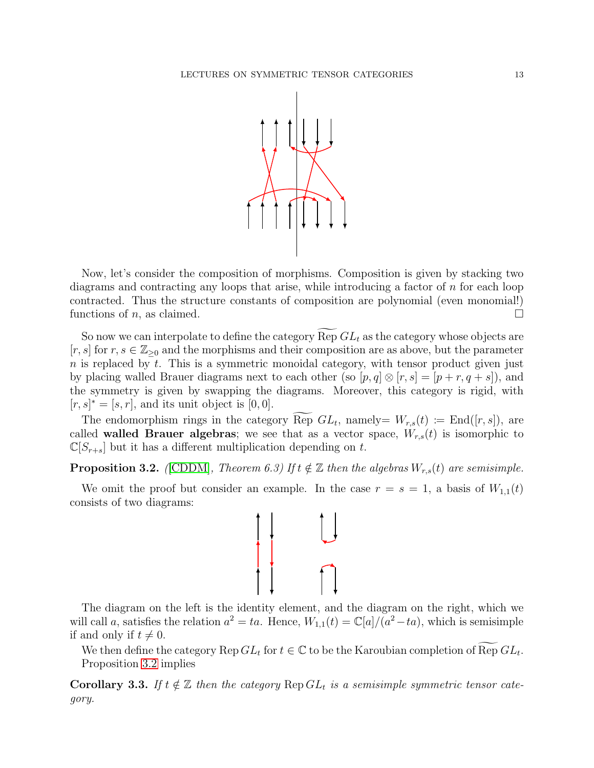

Now, let's consider the composition of morphisms. Composition is given by stacking two diagrams and contracting any loops that arise, while introducing a factor of n for each loop contracted. Thus the structure constants of composition are polynomial (even monomial!) functions of n, as claimed.  $\square$ 

So now we can interpolate to define the category  $\text{Rep } GL_t$  as the category whose objects are  $[r, s]$  for  $r, s \in \mathbb{Z}_{\geq 0}$  and the morphisms and their composition are as above, but the parameter  $n$  is replaced by  $t$ . This is a symmetric monoidal category, with tensor product given just by placing walled Brauer diagrams next to each other (so  $[p, q] \otimes [r, s] = [p + r, q + s]$ ), and the symmetry is given by swapping the diagrams. Moreover, this category is rigid, with  $[r, s]^* = [s, r]$ , and its unit object is  $[0, 0]$ .

The endomorphism rings in the category Rep  $GL_t$ , namely=  $W_{r,s}(t) := \text{End}([r,s])$ , are called **walled Brauer algebras**; we see that as a vector space,  $W_{r,s}(t)$  is isomorphic to  $\mathbb{C}[S_{r+s}]$  but it has a different multiplication depending on t.

<span id="page-12-0"></span>**Proposition 3.2.** *(CDDM)*, *Theorem 6.3)* If  $t \notin \mathbb{Z}$  then the algebras  $W_{r,s}(t)$  are semisimple.

We omit the proof but consider an example. In the case  $r = s = 1$ , a basis of  $W_{1,1}(t)$ consists of two diagrams:



The diagram on the left is the identity element, and the diagram on the right, which we will call a, satisfies the relation  $a^2 = ta$ . Hence,  $W_{1,1}(t) = \mathbb{C}[a]/(a^2 - ta)$ , which is semisimple if and only if  $t \neq 0$ .

We then define the category  $\text{Rep } GL_t$  for  $t \in \mathbb{C}$  to be the Karoubian completion of  $\text{Rep } GL_t$ . Proposition [3.2](#page-12-0) implies

**Corollary 3.3.** If  $t \notin \mathbb{Z}$  then the category  $\text{Rep } GL_t$  is a semisimple symmetric tensor cate*gory.*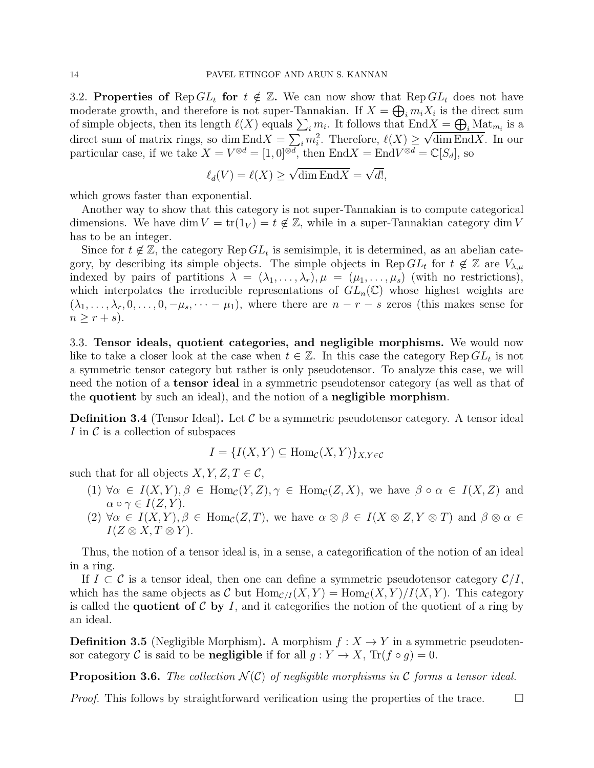<span id="page-13-0"></span>3.2. Properties of Rep  $GL_t$  for  $t \notin \mathbb{Z}$ . We can now show that Rep  $GL_t$  does not have moderate growth, and therefore is not super-Tannakian. If  $X = \bigoplus_i m_i X_i$  is the direct sum of simple objects, then its length  $\ell(X)$  equals  $\sum_i m_i$ . It follows that  $\text{End } X = \bigoplus_i \text{Mat}_{m_i}$  is a direct sum of matrix rings, so dim End $X = \sum_i m_i^2$ . Therefore,  $\ell(X) \geq \sqrt{\dim \text{End}X}$ . In our particular case, if we take  $X = V^{\otimes d} = [1, 0]^{\otimes d}$ , then  $\text{End}X = \text{End}V^{\otimes d} = \mathbb{C}[S_d]$ , so

$$
\ell_d(V) = \ell(X) \ge \sqrt{\dim \operatorname{End} X} = \sqrt{d!},
$$

which grows faster than exponential.

Another way to show that this category is not super-Tannakian is to compute categorical dimensions. We have dim  $V = \text{tr}(1_V) = t \notin \mathbb{Z}$ , while in a super-Tannakian category dim V has to be an integer.

Since for  $t \notin \mathbb{Z}$ , the category  $\text{Rep } GL_t$  is semisimple, it is determined, as an abelian category, by describing its simple objects. The simple objects in Rep  $GL_t$  for  $t \notin \mathbb{Z}$  are  $V_{\lambda,\mu}$ indexed by pairs of partitions  $\lambda = (\lambda_1, \ldots, \lambda_r), \mu = (\mu_1, \ldots, \mu_s)$  (with no restrictions), which interpolates the irreducible representations of  $GL_n(\mathbb{C})$  whose highest weights are  $(\lambda_1, \ldots, \lambda_r, 0, \ldots, 0, -\mu_s, \cdots -\mu_1)$ , where there are  $n-r-s$  zeros (this makes sense for  $n \geq r + s$ ).

3.3. Tensor ideals, quotient categories, and negligible morphisms. We would now like to take a closer look at the case when  $t \in \mathbb{Z}$ . In this case the category Rep  $GL_t$  is not a symmetric tensor category but rather is only pseudotensor. To analyze this case, we will need the notion of a tensor ideal in a symmetric pseudotensor category (as well as that of the quotient by such an ideal), and the notion of a negligible morphism.

**Definition 3.4** (Tensor Ideal). Let  $\mathcal{C}$  be a symmetric pseudotensor category. A tensor ideal I in  $\mathcal C$  is a collection of subspaces

$$
I = \{I(X, Y) \subseteq \text{Hom}_{\mathcal{C}}(X, Y)\}_{X, Y \in \mathcal{C}}
$$

such that for all objects  $X, Y, Z, T \in \mathcal{C}$ ,

- (1)  $\forall \alpha \in I(X,Y), \beta \in \text{Hom}_{\mathcal{C}}(Y,Z), \gamma \in \text{Hom}_{\mathcal{C}}(Z,X)$ , we have  $\beta \circ \alpha \in I(X,Z)$  and  $\alpha \circ \gamma \in I(Z, Y)$ .
- (2)  $\forall \alpha \in I(X,Y), \beta \in \text{Hom}_{\mathcal{C}}(Z,T)$ , we have  $\alpha \otimes \beta \in I(X \otimes Z, Y \otimes T)$  and  $\beta \otimes \alpha \in I(Y \otimes Z)$  $I(Z \otimes X, T \otimes Y).$

Thus, the notion of a tensor ideal is, in a sense, a categorification of the notion of an ideal in a ring.

If  $I \subset \mathcal{C}$  is a tensor ideal, then one can define a symmetric pseudotensor category  $\mathcal{C}/I$ , which has the same objects as C but  $\text{Hom}_{\mathcal{C}/I}(X, Y) = \text{Hom}_{\mathcal{C}}(X, Y)/I(X, Y)$ . This category is called the **quotient of C** by I, and it categorifies the notion of the quotient of a ring by an ideal.

**Definition 3.5** (Negligible Morphism). A morphism  $f: X \to Y$  in a symmetric pseudotensor category C is said to be **negligible** if for all  $g: Y \to X$ ,  $Tr(f \circ g) = 0$ .

**Proposition 3.6.** *The collection*  $\mathcal{N}(\mathcal{C})$  *of negligible morphisms in*  $\mathcal{C}$  *forms a tensor ideal.* 

*Proof.* This follows by straightforward verification using the properties of the trace.  $\square$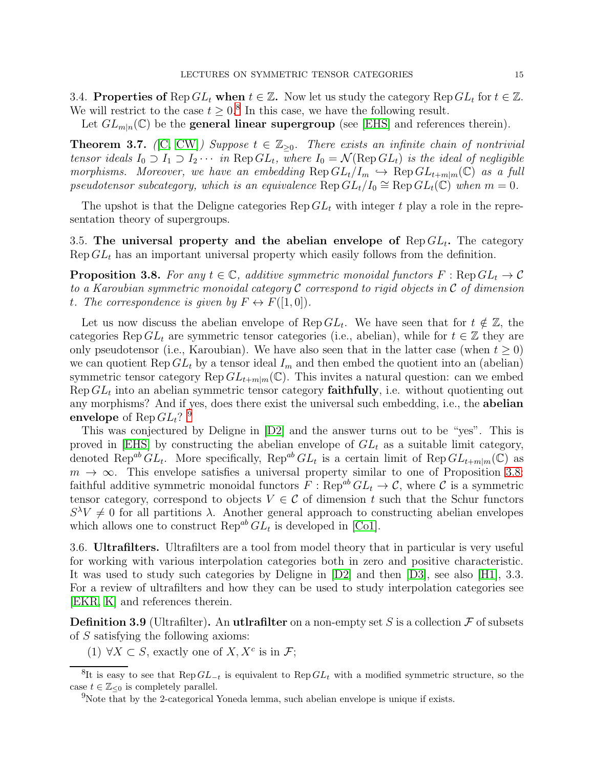3.4. Properties of  $\text{Rep } GL_t$  when  $t \in \mathbb{Z}$ . Now let us study the category  $\text{Rep } GL_t$  for  $t \in \mathbb{Z}$ . We will restrict to the case  $t \geq 0.8$  $t \geq 0.8$  In this case, we have the following result.

Let  $GL_{m|n}(\mathbb{C})$  be the **general linear supergroup** (see [\[EHS\]](#page-33-8) and references therein).

**Theorem 3.7.** *(*[\[C,](#page-32-8) [CW\]](#page-32-6)*)* Suppose  $t \in \mathbb{Z}_{\geq 0}$ . There exists an infinite chain of nontrivial *tensor ideals*  $I_0 \supset I_1 \supset I_2 \cdots$  *in* Rep  $GL_t$ , where  $I_0 = \mathcal{N}(\text{Rep } GL_t)$  *is the ideal of negligible morphisms. Moreover, we have an embedding*  $\text{Rep } GL_t/I_m \hookrightarrow \text{Rep } GL_{t+m|m}(\mathbb{C})$  *as a full pseudotensor subcategory, which is an equivalence*  $\text{Rep } GL_t/I_0 \cong \text{Rep } GL_t(\mathbb{C})$  when  $m = 0$ .

The upshot is that the Deligne categories  $\text{Rep } GL_t$  with integer t play a role in the representation theory of supergroups.

<span id="page-14-2"></span>3.5. The universal property and the abelian envelope of  $\text{Rep } GL_t$ . The category  $\text{Rep } GL_t$  has an important universal property which easily follows from the definition.

**Proposition 3.8.** For any  $t \in \mathbb{C}$ , additive symmetric monoidal functors  $F : \text{Rep } GL_t \to \mathcal{C}$ *to a Karoubian symmetric monoidal category* C *correspond to rigid objects in* C *of dimension t.* The correspondence is given by  $F \leftrightarrow F([1,0])$ .

Let us now discuss the abelian envelope of Rep  $GL_t$ . We have seen that for  $t \notin \mathbb{Z}$ , the categories Rep  $GL_t$  are symmetric tensor categories (i.e., abelian), while for  $t \in \mathbb{Z}$  they are only pseudotensor (i.e., Karoubian). We have also seen that in the latter case (when  $t \geq 0$ ) we can quotient Rep  $GL_t$  by a tensor ideal  $I_m$  and then embed the quotient into an (abelian) symmetric tensor category Rep  $GL_{t+m|m}(\mathbb{C})$ . This invites a natural question: can we embed Rep  $GL_t$  into an abelian symmetric tensor category **faithfully**, i.e. without quotienting out any morphisms? And if yes, does there exist the universal such embedding, i.e., the abelian envelope of Rep $GL_t?$   $^9$  $^9$ 

This was conjectured by Deligne in [\[D2\]](#page-33-0) and the answer turns out to be "yes". This is proved in [\[EHS\]](#page-33-8) by constructing the abelian envelope of  $GL_t$  as a suitable limit category, denoted Rep<sup>ab</sup>  $GL_t$ . More specifically, Rep<sup>ab</sup>  $GL_t$  is a certain limit of Rep $GL_{t+m|m}(\mathbb{C})$  as  $m \to \infty$ . This envelope satisfies a universal property similar to one of Proposition [3.8:](#page-14-2) faithful additive symmetric monoidal functors  $F : \text{Rep}^{ab} GL_t \to \mathcal{C}$ , where  $\mathcal{C}$  is a symmetric tensor category, correspond to objects  $V \in \mathcal{C}$  of dimension t such that the Schur functors  $S^{\lambda}V \neq 0$  for all partitions  $\lambda$ . Another general approach to constructing abelian envelopes which allows one to construct  $\text{Rep}^{ab} GL_t$  is developed in [\[Co1\]](#page-32-9).

3.6. Ultrafilters. Ultrafilters are a tool from model theory that in particular is very useful for working with various interpolation categories both in zero and positive characteristic. It was used to study such categories by Deligne in [\[D2\]](#page-33-0) and then [\[D3\]](#page-33-1), see also [\[H1\]](#page-33-2), 3.3. For a review of ultrafilters and how they can be used to study interpolation categories see [\[EKR,](#page-33-9) [K\]](#page-33-10) and references therein.

**Definition 3.9** (Ultrafilter). An utlrafilter on a non-empty set S is a collection  $\mathcal F$  of subsets of S satisfying the following axioms:

(1)  $\forall X \subset S$ , exactly one of  $X, X^c$  is in  $\mathcal{F}$ ;

<sup>&</sup>lt;sup>8</sup>It is easy to see that  $\text{Rep } GL_{-t}$  is equivalent to  $\text{Rep } GL_t$  with a modified symmetric structure, so the case  $t \in \mathbb{Z}_{\leq 0}$  is completely parallel.

<span id="page-14-1"></span><span id="page-14-0"></span><sup>&</sup>lt;sup>9</sup>Note that by the 2-categorical Yoneda lemma, such abelian envelope is unique if exists.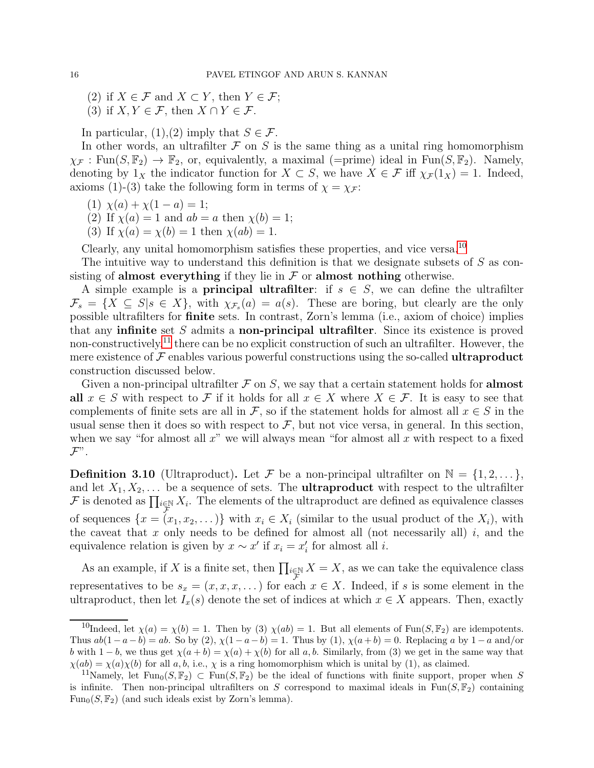(2) if  $X \in \mathcal{F}$  and  $X \subset Y$ , then  $Y \in \mathcal{F}$ ;

(3) if  $X, Y \in \mathcal{F}$ , then  $X \cap Y \in \mathcal{F}$ .

In particular,  $(1),(2)$  imply that  $S \in \mathcal{F}$ .

In other words, an ultrafilter  $\mathcal F$  on S is the same thing as a unital ring homomorphism  $\chi_{\mathcal{F}}: \text{Fun}(S, \mathbb{F}_2) \to \mathbb{F}_2$ , or, equivalently, a maximal (=prime) ideal in Fun( $S, \mathbb{F}_2$ ). Namely, denoting by  $1_X$  the indicator function for  $X \subset S$ , we have  $X \in \mathcal{F}$  iff  $\chi_{\mathcal{F}}(1_X) = 1$ . Indeed, axioms (1)-(3) take the following form in terms of  $\chi = \chi_{\mathcal{F}}$ :

- (1)  $\chi(a) + \chi(1-a) = 1;$
- (2) If  $\chi(a) = 1$  and  $ab = a$  then  $\chi(b) = 1$ ;
- (3) If  $\chi(a) = \chi(b) = 1$  then  $\chi(ab) = 1$ .

Clearly, any unital homomorphism satisfies these properties, and vice versa.[10](#page-15-0)

The intuitive way to understand this definition is that we designate subsets of S as consisting of almost everything if they lie in  $\mathcal F$  or almost nothing otherwise.

A simple example is a **principal ultrafilter**: if  $s \in S$ , we can define the ultrafilter  $\mathcal{F}_s = \{X \subseteq S | s \in X\}$ , with  $\chi_{\mathcal{F}_s}(a) = a(s)$ . These are boring, but clearly are the only possible ultrafilters for finite sets. In contrast, Zorn's lemma (i.e., axiom of choice) implies that any infinite set  $S$  admits a non-principal ultrafilter. Since its existence is proved non-constructively,<sup>[11](#page-15-1)</sup> there can be no explicit construction of such an ultrafilter. However, the mere existence of  $\mathcal F$  enables various powerful constructions using the so-called **ultraproduct** construction discussed below.

Given a non-principal ultrafilter  $\mathcal F$  on  $S$ , we say that a certain statement holds for **almost** all  $x \in S$  with respect to F if it holds for all  $x \in X$  where  $X \in \mathcal{F}$ . It is easy to see that complements of finite sets are all in F, so if the statement holds for almost all  $x \in S$  in the usual sense then it does so with respect to  $\mathcal{F}$ , but not vice versa, in general. In this section, when we say "for almost all  $x$ " we will always mean "for almost all  $x$  with respect to a fixed  $\mathcal{F}^{\prime\prime}$  .

**Definition 3.10** (Ultraproduct). Let F be a non-principal ultrafilter on  $\mathbb{N} = \{1, 2, \ldots\}$ , and let  $X_1, X_2, \ldots$  be a sequence of sets. The **ultraproduct** with respect to the ultrafilter F is denoted as  $\prod_{i\in\mathbb{N}} X_i$ . The elements of the ultraproduct are defined as equivalence classes of sequences  $\{x = (x_1, x_2, \dots)\}\$  with  $x_i \in X_i$  (similar to the usual product of the  $X_i$ ), with the caveat that x only needs to be defined for almost all (not necessarily all) i, and the equivalence relation is given by  $x \sim x'$  if  $x_i = x'_i$  for almost all *i*.

As an example, if X is a finite set, then  $\prod_{i\in\mathbb{N}} X = X$ , as we can take the equivalence class representatives to be  $s_x = (x, x, x, ...)$  for each  $x \in X$ . Indeed, if s is some element in the ultraproduct, then let  $I_x(s)$  denote the set of indices at which  $x \in X$  appears. Then, exactly

<span id="page-15-0"></span><sup>&</sup>lt;sup>10</sup>Indeed, let  $\chi(a) = \chi(b) = 1$ . Then by (3)  $\chi(ab) = 1$ . But all elements of Fun(S, F<sub>2</sub>) are idempotents. Thus  $ab(1-a-b) = ab$ . So by (2),  $\chi(1-a-b) = 1$ . Thus by (1),  $\chi(a+b) = 0$ . Replacing a by  $1-a$  and/or b with  $1-b$ , we thus get  $\chi(a+b) = \chi(a) + \chi(b)$  for all a, b. Similarly, from (3) we get in the same way that  $\chi(ab) = \chi(a)\chi(b)$  for all a, b, i.e.,  $\chi$  is a ring homomorphism which is unital by (1), as claimed.

<span id="page-15-1"></span><sup>&</sup>lt;sup>11</sup>Namely, let Fun<sub>0</sub> $(S, \mathbb{F}_2) \subset \text{Fun}(S, \mathbb{F}_2)$  be the ideal of functions with finite support, proper when S is infinite. Then non-principal ultrafilters on S correspond to maximal ideals in  $Fun(S, \mathbb{F}_2)$  containing  $Fun_0(S, \mathbb{F}_2)$  (and such ideals exist by Zorn's lemma).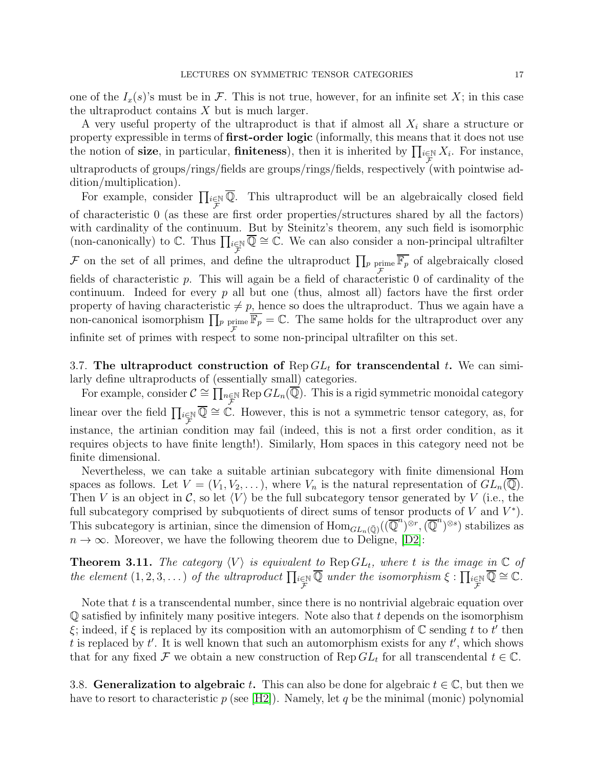one of the  $I_x(s)$ 's must be in F. This is not true, however, for an infinite set X; in this case the ultraproduct contains  $X$  but is much larger.

A very useful property of the ultraproduct is that if almost all  $X_i$  share a structure or property expressible in terms of first-order logic (informally, this means that it does not use the notion of **size**, in particular, **finiteness**), then it is inherited by  $\prod_{i\in\mathbb{N}} X_i$ . For instance, ultraproducts of groups/rings/fields are groups/rings/fields, respectively (with pointwise addition/multiplication).

For example, consider  $\prod_{i\in\mathbb{N}}\overline{\mathbb{Q}}$ . This ultraproduct will be an algebraically closed field of characteristic  $\theta$  (as these are first order properties/structures shared by all the factors) with cardinality of the continuum. But by Steinitz's theorem, any such field is isomorphic (non-canonically) to  $\mathbb C$ . Thus  $\prod_{i\in \mathbb N} \overline{\mathbb Q} \cong \mathbb C$ . We can also consider a non-principal ultrafilter F on the set of all primes, and define the ultraproduct  $\prod_p \text{prime } \overline{\mathbb{F}_p}$  of algebraically closed fields of characteristic p. This will again be a field of characteristic 0 of cardinality of the continuum. Indeed for every  $p$  all but one (thus, almost all) factors have the first order property of having characteristic  $\neq p$ , hence so does the ultraproduct. Thus we again have a non-canonical isomorphism  $\prod_p$  prime F  $\overline{\mathbb{F}_p} = \mathbb{C}$ . The same holds for the ultraproduct over any infinite set of primes with respect to some non-principal ultrafilter on this set.

3.7. The ultraproduct construction of  $\text{Rep } GL_t$  for transcendental t. We can similarly define ultraproducts of (essentially small) categories.

For example, consider  $C \cong \prod_{n \in \mathbb{N}} Rep \overline{GL_n(\overline{\mathbb{Q}})}$ . This is a rigid symmetric monoidal category linear over the field  $\prod_{i\in\mathbb{N}}\overline{\mathbb{Q}}\cong\overline{\mathbb{C}}$ . However, this is not a symmetric tensor category, as, for instance, the artinian condition may fail (indeed, this is not a first order condition, as it requires objects to have finite length!). Similarly, Hom spaces in this category need not be finite dimensional.

Nevertheless, we can take a suitable artinian subcategory with finite dimensional Hom spaces as follows. Let  $V = (V_1, V_2, \ldots)$ , where  $V_n$  is the natural representation of  $GL_n(\mathbb{Q})$ . Then V is an object in C, so let  $\langle V \rangle$  be the full subcategory tensor generated by V (i.e., the full subcategory comprised by subquotients of direct sums of tensor products of  $V$  and  $V^*$ ). This subcategory is artinian, since the dimension of  $\text{Hom}_{GL_n(\bar{\mathbb{Q}})}((\overline{\mathbb{Q}}^n)^{\otimes r}, (\overline{\mathbb{Q}}^n)^{\otimes s})$  stabilizes as  $n \to \infty$ . Moreover, we have the following theorem due to Deligne, [\[D2\]](#page-33-0):

**Theorem 3.11.** The category  $\langle V \rangle$  is equivalent to  $\text{Rep } GL_t$ , where t is the image in  $\mathbb{C}$  of *the element*  $(1, 2, 3, ...)$  *of the ultraproduct*  $\prod_{i \in \mathbb{N}}$  $\overline{\mathbb{Q}}$  under the isomorphism  $\xi : \prod_{\substack{i \in \mathbb{N} \\ \mathcal{F}}}$  $\overline{\mathbb{Q}}\cong \mathbb{C}.$ 

Note that  $t$  is a transcendental number, since there is no nontrivial algebraic equation over  $\mathbb Q$  satisfied by infinitely many positive integers. Note also that t depends on the isomorphism  $\xi$ ; indeed, if  $\xi$  is replaced by its composition with an automorphism of  $\mathbb C$  sending t to t' then t is replaced by  $t'$ . It is well known that such an automorphism exists for any  $t'$ , which shows that for any fixed  $\mathcal F$  we obtain a new construction of  $\text{Rep } GL_t$  for all transcendental  $t \in \mathbb{C}$ .

3.8. Generalization to algebraic t. This can also be done for algebraic  $t \in \mathbb{C}$ , but then we have to resort to characteristic  $p$  (see [\[H2\]](#page-33-11)). Namely, let q be the minimal (monic) polynomial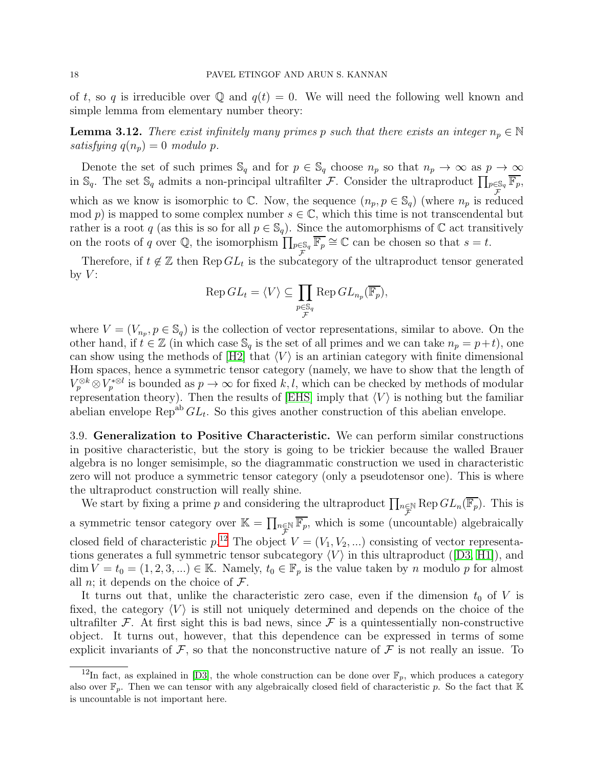of t, so q is irreducible over Q and  $q(t) = 0$ . We will need the following well known and simple lemma from elementary number theory:

**Lemma 3.12.** *There exist infinitely many primes p such that there exists an integer*  $n_p \in \mathbb{N}$ *satisfying*  $q(n_p) = 0$  *modulo* p.

Denote the set of such primes  $\mathbb{S}_q$  and for  $p \in \mathbb{S}_q$  choose  $n_p$  so that  $n_p \to \infty$  as  $p \to \infty$ in  $\mathbb{S}_q$ . The set  $\mathbb{S}_q$  admits a non-principal ultrafilter  $\mathcal{F}$ . Consider the ultraproduct  $\prod_{p\in\mathbb{S}_q} \overline{\mathbb{F}_p}$ , which as we know is isomorphic to  $\mathbb C$ . Now, the sequence  $(n_p, p \in \mathbb S_q)$  (where  $n_p$  is reduced mod p) is mapped to some complex number  $s \in \mathbb{C}$ , which this time is not transcendental but rather is a root q (as this is so for all  $p \in \mathbb{S}_q$ ). Since the automorphisms of  $\mathbb C$  act transitively on the roots of q over Q, the isomorphism  $\prod_{p\in\mathbb{S}_q} \overline{\mathbb{F}_p} \cong \mathbb{C}$  can be chosen so that  $s = t$ .

Therefore, if  $t \notin \mathbb{Z}$  then  $\text{Rep } GL_t$  is the subcategory of the ultraproduct tensor generated by  $V$ :

$$
\operatorname{Rep} GL_t = \langle V \rangle \subseteq \prod_{\substack{p \in \mathbb{S}_q \\ \mathcal{F}}} \operatorname{Rep} GL_{n_p}(\overline{\mathbb{F}_p}),
$$

where  $V = (V_{n_p}, p \in \mathbb{S}_q)$  is the collection of vector representations, similar to above. On the other hand, if  $t \in \mathbb{Z}$  (in which case  $\mathbb{S}_q$  is the set of all primes and we can take  $n_p = p+t$ ), one can show using the methods of  $[H2]$  that  $\langle V \rangle$  is an artinian category with finite dimensional Hom spaces, hence a symmetric tensor category (namely, we have to show that the length of  $V_p^{\otimes k} \otimes V_p^{* \otimes l}$  is bounded as  $p \to \infty$  for fixed k, l, which can be checked by methods of modular representation theory). Then the results of [\[EHS\]](#page-33-8) imply that  $\langle V \rangle$  is nothing but the familiar abelian envelope  $\text{Rep}^{ab} GL_t$ . So this gives another construction of this abelian envelope.

3.9. Generalization to Positive Characteristic. We can perform similar constructions in positive characteristic, but the story is going to be trickier because the walled Brauer algebra is no longer semisimple, so the diagrammatic construction we used in characteristic zero will not produce a symmetric tensor category (only a pseudotensor one). This is where the ultraproduct construction will really shine.

We start by fixing a prime p and considering the ultraproduct  $\prod_{n\in\mathbb{N}} Rep GL_n(\overline{\mathbb{F}_p})$ . This is a symmetric tensor category over  $\mathbb{K} = \prod_{n \in \mathbb{N}} \overline{\mathbb{F}_p}$ , which is some (uncountable) algebraically closed field of characteristic  $p^{12}$  $p^{12}$  $p^{12}$ . The object  $V = (V_1, V_2, ...)$  consisting of vector representationsgenerates a full symmetric tensor subcategory  $\langle V \rangle$  in this ultraproduct ([\[D3,](#page-33-1) [H1\]](#page-33-2)), and  $\dim V = t_0 = (1, 2, 3, ...) \in \mathbb{K}$ . Namely,  $t_0 \in \mathbb{F}_p$  is the value taken by n modulo p for almost all *n*; it depends on the choice of  $\mathcal{F}$ .

It turns out that, unlike the characteristic zero case, even if the dimension  $t_0$  of V is fixed, the category  $\langle V \rangle$  is still not uniquely determined and depends on the choice of the ultrafilter  $\mathcal F$ . At first sight this is bad news, since  $\mathcal F$  is a quintessentially non-constructive object. It turns out, however, that this dependence can be expressed in terms of some explicit invariants of  $\mathcal{F}$ , so that the nonconstructive nature of  $\mathcal{F}$  is not really an issue. To

<span id="page-17-0"></span><sup>&</sup>lt;sup>12</sup>In fact, as explained in [\[D3\]](#page-33-1), the whole construction can be done over  $\mathbb{F}_p$ , which produces a category also over  $\mathbb{F}_p$ . Then we can tensor with any algebraically closed field of characteristic p. So the fact that K is uncountable is not important here.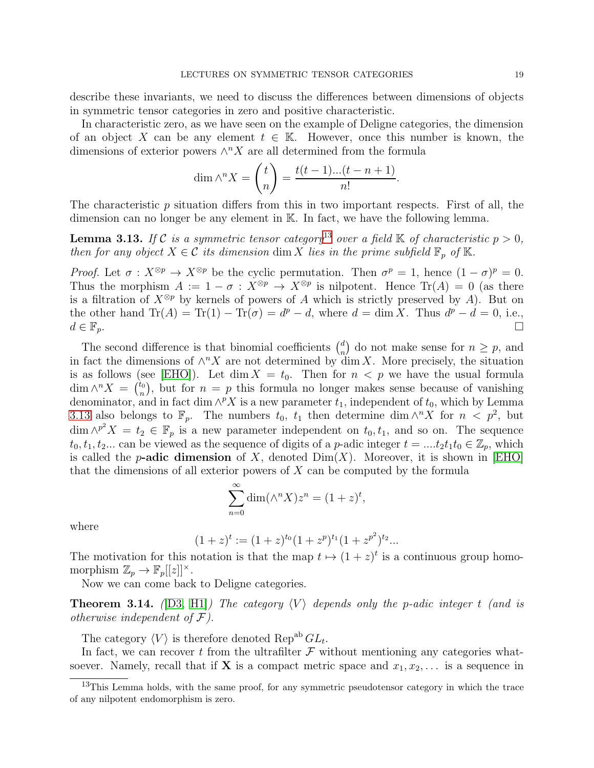describe these invariants, we need to discuss the differences between dimensions of objects in symmetric tensor categories in zero and positive characteristic.

In characteristic zero, as we have seen on the example of Deligne categories, the dimension of an object X can be any element  $t \in \mathbb{K}$ . However, once this number is known, the dimensions of exterior powers  $\wedge^n X$  are all determined from the formula

$$
\dim \wedge^n X = \binom{t}{n} = \frac{t(t-1)...(t-n+1)}{n!}.
$$

<span id="page-18-1"></span>The characteristic p situation differs from this in two important respects. First of all, the dimension can no longer be any element in K. In fact, we have the following lemma.

**Lemma 3.[13](#page-18-0).** If C is a symmetric tensor category<sup>13</sup> over a field K of characteristic  $p > 0$ , *then for any object*  $X \in \mathcal{C}$  *its dimension* dim X *lies in the prime subfield*  $\mathbb{F}_p$  *of* K.

*Proof.* Let  $\sigma : X^{\otimes p} \to X^{\otimes p}$  be the cyclic permutation. Then  $\sigma^p = 1$ , hence  $(1 - \sigma)^p = 0$ . Thus the morphism  $A := 1 - \sigma : X^{\otimes p} \to X^{\otimes p}$  is nilpotent. Hence  $\text{Tr}(A) = 0$  (as there is a filtration of  $X^{\otimes p}$  by kernels of powers of A which is strictly preserved by A). But on the other hand  $\text{Tr}(A) = \text{Tr}(1) - \text{Tr}(\sigma) = d^p - d$ , where  $d = \dim X$ . Thus  $d^p - d = 0$ , i.e.,  $d \in \mathbb{F}_p$ .

The second difference is that binomial coefficients  $\binom{d}{n}$ <sup>d</sup><sub>n</sub>)</sub> do not make sense for  $n \geq p$ , and in fact the dimensions of  $\wedge^n X$  are not determined by dim X. More precisely, the situation is as follows (see [\[EHO\]](#page-33-12)). Let dim  $X = t_0$ . Then for  $n < p$  we have the usual formula  $\dim \wedge^n X = \begin{pmatrix} t_0 \\ n \end{pmatrix}$  $\mu_n^{(b)}$ , but for  $n = p$  this formula no longer makes sense because of vanishing denominator, and in fact dim  $\wedge^p X$  is a new parameter  $t_1$ , independent of  $t_0$ , which by Lemma [3.13](#page-18-1) also belongs to  $\mathbb{F}_p$ . The numbers  $t_0$ ,  $t_1$  then determine dim  $\wedge^n X$  for  $n < p^2$ , but  $\dim \wedge^{p^2} X = t_2 \in \mathbb{F}_p$  is a new parameter independent on  $t_0, t_1$ , and so on. The sequence  $t_0, t_1, t_2...$  can be viewed as the sequence of digits of a p-adic integer  $t = ...t_2t_1t_0 \in \mathbb{Z}_p$ , which is called the p-adic dimension of X, denoted  $Dim(X)$ . Moreover, it is shown in [\[EHO\]](#page-33-12) that the dimensions of all exterior powers of X can be computed by the formula

$$
\sum_{n=0}^{\infty} \dim(\wedge^n X) z^n = (1+z)^t,
$$

where

$$
(1+z)^t := (1+z)^{t_0}(1+z^p)^{t_1}(1+z^{p^2})^{t_2}...
$$

The motivation for this notation is that the map  $t \mapsto (1+z)^t$  is a continuous group homomorphism  $\mathbb{Z}_p \to \mathbb{F}_p[[z]]^{\times}$ .

Now we can come back to Deligne categories.

**Theorem 3.14.** *(D3, H1) The category*  $\langle V \rangle$  *depends only the p-adic integer t (and is otherwise independent of* F*).*

The category  $\langle V \rangle$  is therefore denoted Rep<sup>ab</sup>  $GL_t$ .

In fact, we can recover t from the ultrafilter  $\mathcal F$  without mentioning any categories whatsoever. Namely, recall that if **X** is a compact metric space and  $x_1, x_2, \ldots$  is a sequence in

<span id="page-18-0"></span><sup>&</sup>lt;sup>13</sup>This Lemma holds, with the same proof, for any symmetric pseudotensor category in which the trace of any nilpotent endomorphism is zero.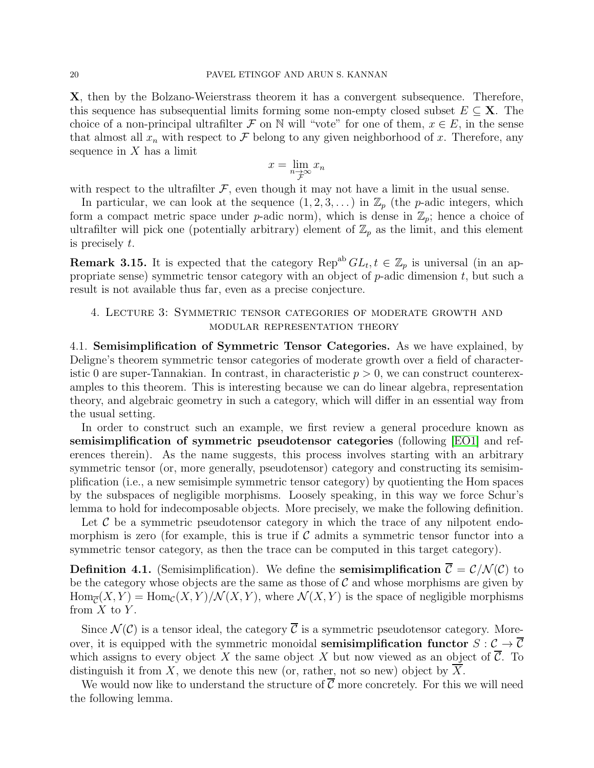X, then by the Bolzano-Weierstrass theorem it has a convergent subsequence. Therefore, this sequence has subsequential limits forming some non-empty closed subset  $E \subseteq \mathbf{X}$ . The choice of a non-principal ultrafilter F on N will "vote" for one of them,  $x \in E$ , in the sense that almost all  $x_n$  with respect to F belong to any given neighborhood of x. Therefore, any sequence in  $X$  has a limit

$$
x = \lim_{\substack{n \to \infty \\ \mathcal{F}}} x_n
$$

with respect to the ultrafilter  $\mathcal{F}$ , even though it may not have a limit in the usual sense.

In particular, we can look at the sequence  $(1, 2, 3, ...)$  in  $\mathbb{Z}_p$  (the p-adic integers, which form a compact metric space under p-adic norm), which is dense in  $\mathbb{Z}_p$ ; hence a choice of ultrafilter will pick one (potentially arbitrary) element of  $\mathbb{Z}_p$  as the limit, and this element is precisely t.

**Remark 3.15.** It is expected that the category  $\text{Rep}^{ab} GL_t, t \in \mathbb{Z}_p$  is universal (in an appropriate sense) symmetric tensor category with an object of  $p$ -adic dimension  $t$ , but such a result is not available thus far, even as a precise conjecture.

# <span id="page-19-0"></span>4. Lecture 3: Symmetric tensor categories of moderate growth and modular representation theory

4.1. Semisimplification of Symmetric Tensor Categories. As we have explained, by Deligne's theorem symmetric tensor categories of moderate growth over a field of characteristic 0 are super-Tannakian. In contrast, in characteristic  $p > 0$ , we can construct counterexamples to this theorem. This is interesting because we can do linear algebra, representation theory, and algebraic geometry in such a category, which will differ in an essential way from the usual setting.

In order to construct such an example, we first review a general procedure known as semisimplification of symmetric pseudotensor categories (following [\[EO1\]](#page-33-13) and references therein). As the name suggests, this process involves starting with an arbitrary symmetric tensor (or, more generally, pseudotensor) category and constructing its semisimplification (i.e., a new semisimple symmetric tensor category) by quotienting the Hom spaces by the subspaces of negligible morphisms. Loosely speaking, in this way we force Schur's lemma to hold for indecomposable objects. More precisely, we make the following definition.

Let  $\mathcal C$  be a symmetric pseudotensor category in which the trace of any nilpotent endomorphism is zero (for example, this is true if  $\mathcal C$  admits a symmetric tensor functor into a symmetric tensor category, as then the trace can be computed in this target category).

**Definition 4.1.** (Semisimplification). We define the **semisimplification**  $\overline{C} = \mathcal{C}/\mathcal{N}(\mathcal{C})$  to be the category whose objects are the same as those of  $C$  and whose morphisms are given by  $\text{Hom}_{\overline{\mathcal{C}}}(X, Y) = \text{Hom}_{\mathcal{C}}(X, Y) / \mathcal{N}(X, Y)$ , where  $\mathcal{N}(X, Y)$  is the space of negligible morphisms from  $X$  to  $Y$ .

Since  $\mathcal{N}(\mathcal{C})$  is a tensor ideal, the category  $\overline{\mathcal{C}}$  is a symmetric pseudotensor category. Moreover, it is equipped with the symmetric monoidal semisimplification functor  $S : \mathcal{C} \to \overline{\mathcal{C}}$ which assigns to every object X the same object X but now viewed as an object of  $\overline{C}$ . To distinguish it from X, we denote this new (or, rather, not so new) object by  $\overline{X}$ .

<span id="page-19-1"></span>We would now like to understand the structure of  $\overline{\mathcal{C}}$  more concretely. For this we will need the following lemma.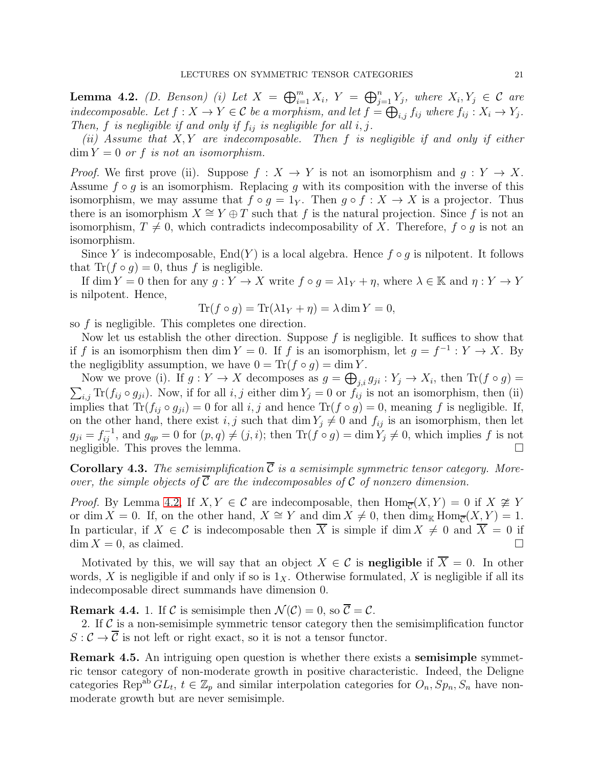**Lemma 4.2.** *(D. Benson) (i)* Let  $X = \bigoplus_{i=1}^{m} X_i$ ,  $Y = \bigoplus_{j=1}^{n} Y_j$ , where  $X_i, Y_j \in \mathcal{C}$  are *indecomposable.* Let  $f : X \to Y \in C$  *be a morphism, and let*  $f = \bigoplus_{i,j} f_{ij}$  *where*  $f_{ij} : X_i \to Y_j$ *. Then,* f *is negligible if and only if*  $f_{ij}$  *is negligible for all*  $i, j$ .

*(ii) Assume that* X, Y *are indecomposable. Then* f *is negligible if and only if either*  $\dim Y = 0$  *or f is not an isomorphism.* 

*Proof.* We first prove (ii). Suppose  $f : X \to Y$  is not an isomorphism and  $g : Y \to X$ . Assume  $f \circ g$  is an isomorphism. Replacing q with its composition with the inverse of this isomorphism, we may assume that  $f \circ g = 1_Y$ . Then  $g \circ f : X \to X$  is a projector. Thus there is an isomorphism  $X \cong Y \oplus T$  such that f is the natural projection. Since f is not an isomorphism,  $T \neq 0$ , which contradicts indecomposability of X. Therefore,  $f \circ g$  is not an isomorphism.

Since Y is indecomposable,  $\text{End}(Y)$  is a local algebra. Hence  $f \circ g$  is nilpotent. It follows that  $\text{Tr}(f \circ q) = 0$ , thus f is negligible.

If dim  $Y = 0$  then for any  $g: Y \to X$  write  $f \circ g = \lambda 1_Y + \eta$ , where  $\lambda \in \mathbb{K}$  and  $\eta: Y \to Y$ is nilpotent. Hence,

$$
\text{Tr}(f \circ g) = \text{Tr}(\lambda 1_Y + \eta) = \lambda \dim Y = 0,
$$

so f is negligible. This completes one direction.

Now let us establish the other direction. Suppose  $f$  is negligible. It suffices to show that if f is an isomorphism then dim  $Y = 0$ . If f is an isomorphism, let  $g = f^{-1} : Y \to X$ . By the negligiblity assumption, we have  $0 = \text{Tr}(f \circ q) = \dim Y$ .

Now we prove (i). If  $g: Y \to X$  decomposes as  $g = \bigoplus_{j,i} g_{ji} : Y_j \to X_i$ , then  $\text{Tr}(f \circ g) =$  $\sum_{i,j} \text{Tr}(f_{ij} \circ g_{ji})$ . Now, if for all  $i, j$  either dim  $Y_j = 0$  or  $f_{ij}$  is not an isomorphism, then (ii) implies that  $\text{Tr}(f_{ij} \circ g_{ji}) = 0$  for all i, j and hence  $\text{Tr}(f \circ g) = 0$ , meaning f is negligible. If, on the other hand, there exist i, j such that dim  $Y_j \neq 0$  and  $f_{ij}$  is an isomorphism, then let  $g_{ji} = f_{ij}^{-1}$ , and  $g_{qp} = 0$  for  $(p, q) \neq (j, i)$ ; then  $\text{Tr}(f \circ g) = \dim Y_j \neq 0$ , which implies f is not negligible. This proves the lemma.

**Corollary 4.3.** The semisimplification  $\overline{C}$  is a semisimple symmetric tensor category. More*over, the simple objects of*  $\overline{C}$  *are the indecomposables of*  $C$  *of nonzero dimension.* 

*Proof.* By Lemma [4.2,](#page-19-1) If  $X, Y \in \mathcal{C}$  are indecomposable, then  $\text{Hom}_{\overline{\mathcal{C}}}(X, Y) = 0$  if  $X \not\cong Y$ or dim  $X = 0$ . If, on the other hand,  $X \cong Y$  and dim  $X \neq 0$ , then  $\dim_{\mathbb{K}} \text{Hom}_{\overline{C}}(X, Y) = 1$ . In particular, if  $X \in \mathcal{C}$  is indecomposable then  $\overline{X}$  is simple if dim  $X \neq 0$  and  $\overline{X} = 0$  if dim  $X = 0$  as claimed  $\dim X = 0$ , as claimed.

Motivated by this, we will say that an object  $X \in \mathcal{C}$  is **negligible** if  $\overline{X} = 0$ . In other words, X is negligible if and only if so is  $1<sub>X</sub>$ . Otherwise formulated, X is negligible if all its indecomposable direct summands have dimension 0.

**Remark 4.4.** 1. If C is semisimple then  $\mathcal{N}(\mathcal{C}) = 0$ , so  $\overline{\mathcal{C}} = \mathcal{C}$ .

2. If  $\mathcal C$  is a non-semisimple symmetric tensor category then the semisimplification functor  $S: \mathcal{C} \to \overline{\mathcal{C}}$  is not left or right exact, so it is not a tensor functor.

Remark 4.5. An intriguing open question is whether there exists a semisimple symmetric tensor category of non-moderate growth in positive characteristic. Indeed, the Deligne categories Rep<sup>ab</sup>  $GL_t$ ,  $t \in \mathbb{Z}_p$  and similar interpolation categories for  $O_n$ ,  $Sp_n$ ,  $S_n$  have nonmoderate growth but are never semisimple.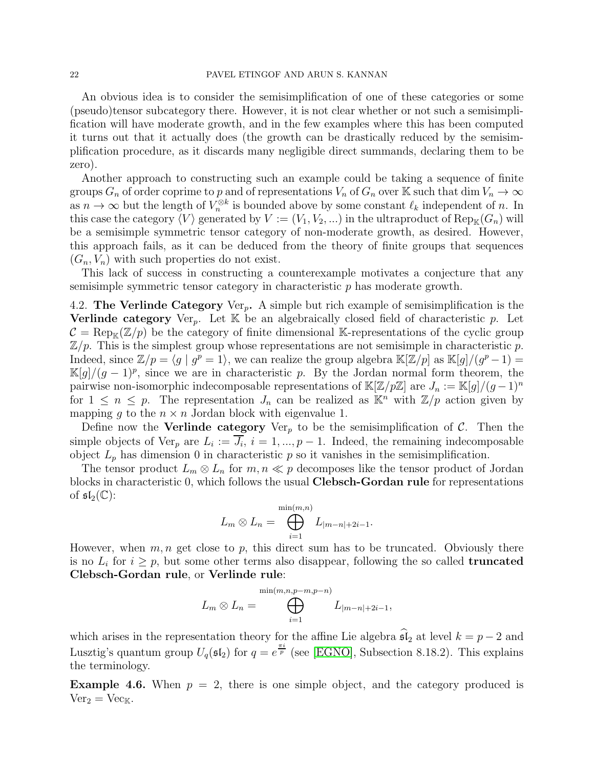#### 22 PAVEL ETINGOF AND ARUN S. KANNAN

An obvious idea is to consider the semisimplification of one of these categories or some (pseudo)tensor subcategory there. However, it is not clear whether or not such a semisimplification will have moderate growth, and in the few examples where this has been computed it turns out that it actually does (the growth can be drastically reduced by the semisimplification procedure, as it discards many negligible direct summands, declaring them to be zero).

Another approach to constructing such an example could be taking a sequence of finite groups  $G_n$  of order coprime to p and of representations  $V_n$  of  $G_n$  over K such that dim  $V_n \to \infty$ as  $n \to \infty$  but the length of  $V_n^{\otimes k}$  is bounded above by some constant  $\ell_k$  independent of n. In this case the category  $\langle V \rangle$  generated by  $V := (V_1, V_2, ...)$  in the ultraproduct of  $\text{Rep}_{\mathbb{K}}(G_n)$  will be a semisimple symmetric tensor category of non-moderate growth, as desired. However, this approach fails, as it can be deduced from the theory of finite groups that sequences  $(G_n, V_n)$  with such properties do not exist.

This lack of success in constructing a counterexample motivates a conjecture that any semisimple symmetric tensor category in characteristic p has moderate growth.

4.2. The Verlinde Category Ver<sub>p</sub>. A simple but rich example of semisimplification is the **Verlinde category** Ver<sub>p</sub>. Let  $K$  be an algebraically closed field of characteristic p. Let  $\mathcal{C} = \text{Rep}_{\mathbb{K}}(\mathbb{Z}/p)$  be the category of finite dimensional K-representations of the cyclic group  $\mathbb{Z}/p$ . This is the simplest group whose representations are not semisimple in characteristic p. Indeed, since  $\mathbb{Z}/p = \langle g | g^p = 1 \rangle$ , we can realize the group algebra  $\mathbb{K}[\mathbb{Z}/p]$  as  $\mathbb{K}[g]/(g^p - 1) =$  $\mathbb{K}[g]/(g-1)^p$ , since we are in characteristic p. By the Jordan normal form theorem, the pairwise non-isomorphic indecomposable representations of  $\mathbb{K}[\mathbb{Z}/p\mathbb{Z}]$  are  $J_n := \mathbb{K}[g]/(g-1)^n$ for  $1 \leq n \leq p$ . The representation  $J_n$  can be realized as  $\mathbb{K}^n$  with  $\mathbb{Z}/p$  action given by mapping g to the  $n \times n$  Jordan block with eigenvalue 1.

Define now the **Verlinde category** Ver<sub>p</sub> to be the semisimplification of C. Then the simple objects of  $\text{Ver}_p$  are  $L_i := J_i$ ,  $i = 1, ..., p - 1$ . Indeed, the remaining indecomposable object  $L_p$  has dimension 0 in characteristic p so it vanishes in the semisimplification.

The tensor product  $L_m \otimes L_n$  for  $m, n \ll p$  decomposes like the tensor product of Jordan blocks in characteristic 0, which follows the usual Clebsch-Gordan rule for representations of  $\mathfrak{sl}_2(\mathbb{C})$ :

$$
L_m \otimes L_n = \bigoplus_{i=1}^{\min(m,n)} L_{|m-n|+2i-1}.
$$

However, when  $m, n$  get close to p, this direct sum has to be truncated. Obviously there is no  $L_i$  for  $i \geq p$ , but some other terms also disappear, following the so called **truncated** Clebsch-Gordan rule, or Verlinde rule:

$$
L_m \otimes L_n = \bigoplus_{i=1}^{\min(m,n,p-m,p-n)} L_{|m-n|+2i-1},
$$

which arises in the representation theory for the affine Lie algebra  $\widehat{\mathfrak{sl}}_2$  at level  $k = p - 2$  and Lusztig's quantum group  $U_q(\mathfrak{sl}_2)$  for  $q = e^{\frac{\pi i}{p}}$  (see [\[EGNO\]](#page-33-6), Subsection 8.18.2). This explains the terminology.

**Example 4.6.** When  $p = 2$ , there is one simple object, and the category produced is  $Ver_2 = Vec_{K}$ .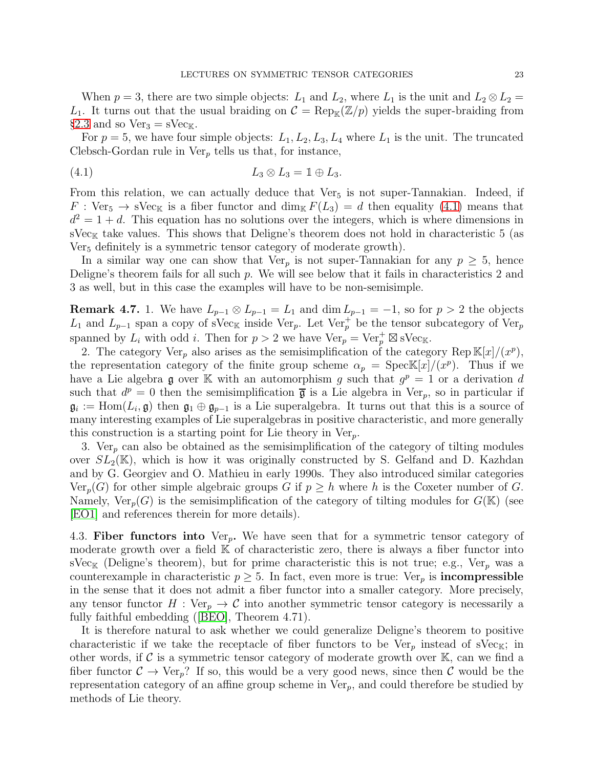When  $p = 3$ , there are two simple objects:  $L_1$  and  $L_2$ , where  $L_1$  is the unit and  $L_2 \otimes L_2 =$  $L_1$ . It turns out that the usual braiding on  $\mathcal{C} = \text{Rep}_{\mathbb{K}}(\mathbb{Z}/p)$  yields the super-braiding from §[2.3](#page-7-0) and so  $Ver_3 = sVec_{K}$ .

For  $p = 5$ , we have four simple objects:  $L_1, L_2, L_3, L_4$  where  $L_1$  is the unit. The truncated Clebsch-Gordan rule in  $Ver_p$  tells us that, for instance,

<span id="page-22-0"></span>
$$
(4.1) \t\t\t L_3 \otimes L_3 = \mathbb{1} \oplus L_3.
$$

From this relation, we can actually deduce that  $Ver<sub>5</sub>$  is not super-Tannakian. Indeed, if  $F : \text{Ver}_5 \to \text{sVec}_{\mathbb{K}}$  is a fiber functor and  $\dim_{\mathbb{K}} F(L_3) = d$  then equality [\(4.1\)](#page-22-0) means that  $d^2 = 1 + d$ . This equation has no solutions over the integers, which is where dimensions in sVec<sub>K</sub> take values. This shows that Deligne's theorem does not hold in characteristic 5 (as Ver<sub>5</sub> definitely is a symmetric tensor category of moderate growth).

In a similar way one can show that  $Ver_p$  is not super-Tannakian for any  $p \geq 5$ , hence Deligne's theorem fails for all such p. We will see below that it fails in characteristics 2 and 3 as well, but in this case the examples will have to be non-semisimple.

**Remark 4.7.** 1. We have  $L_{p-1} \otimes L_{p-1} = L_1$  and  $\dim L_{p-1} = -1$ , so for  $p > 2$  the objects  $L_1$  and  $L_{p-1}$  span a copy of sVec<sub>K</sub> inside Ver<sub>p</sub>. Let Ver<sub>p</sub><sup>+</sup> be the tensor subcategory of Ver<sub>p</sub> spanned by  $L_i$  with odd i. Then for  $p > 2$  we have  $\text{Ver}_p = \text{Ver}_p^+ \boxtimes \text{sec}_{\mathbb{K}}$ .

2. The category  $\text{Ver}_p$  also arises as the semisimplification of the category  $\text{Rep } \mathbb{K}[x]/(x^p)$ , the representation category of the finite group scheme  $\alpha_p = \text{Spec} \mathbb{K}[x]/(x^p)$ . Thus if we have a Lie algebra  $\mathfrak g$  over K with an automorphism g such that  $g^p = 1$  or a derivation d such that  $d^p = 0$  then the semisimplification  $\bar{\mathfrak{g}}$  is a Lie algebra in Ver<sub>p</sub>, so in particular if  $\mathfrak{g}_i := \text{Hom}(L_i, \mathfrak{g})$  then  $\mathfrak{g}_1 \oplus \mathfrak{g}_{p-1}$  is a Lie superalgebra. It turns out that this is a source of many interesting examples of Lie superalgebras in positive characteristic, and more generally this construction is a starting point for Lie theory in  $Ver_p$ .

3. Ver<sub>p</sub> can also be obtained as the semisimplification of the category of tilting modules over  $SL_2(\mathbb{K})$ , which is how it was originally constructed by S. Gelfand and D. Kazhdan and by G. Georgiev and O. Mathieu in early 1990s. They also introduced similar categories  $\text{Ver}_p(G)$  for other simple algebraic groups G if  $p \geq h$  where h is the Coxeter number of G. Namely,  $Ver_p(G)$  is the semisimplification of the category of tilting modules for  $G(K)$  (see [\[EO1\]](#page-33-13) and references therein for more details).

4.3. Fiber functors into  $Ver<sub>p</sub>$ . We have seen that for a symmetric tensor category of moderate growth over a field  $\mathbb K$  of characteristic zero, there is always a fiber functor into  $\text{sVec}_{\mathbb{K}}$  (Deligne's theorem), but for prime characteristic this is not true; e.g., Ver<sub>p</sub> was a counterexample in characteristic  $p \geq 5$ . In fact, even more is true: Ver<sub>p</sub> is **incompressible** in the sense that it does not admit a fiber functor into a smaller category. More precisely, any tensor functor  $H : \text{Ver}_n \to \mathcal{C}$  into another symmetric tensor category is necessarily a fully faithful embedding([\[BEO\]](#page-32-5), Theorem 4.71).

It is therefore natural to ask whether we could generalize Deligne's theorem to positive characteristic if we take the receptacle of fiber functors to be  $Ver_p$  instead of sVec<sub>K</sub>; in other words, if  $\mathcal C$  is a symmetric tensor category of moderate growth over  $\mathbb K$ , can we find a fiber functor  $C \to \text{Ver}_p$ ? If so, this would be a very good news, since then C would be the representation category of an affine group scheme in  $Ver_p$ , and could therefore be studied by methods of Lie theory.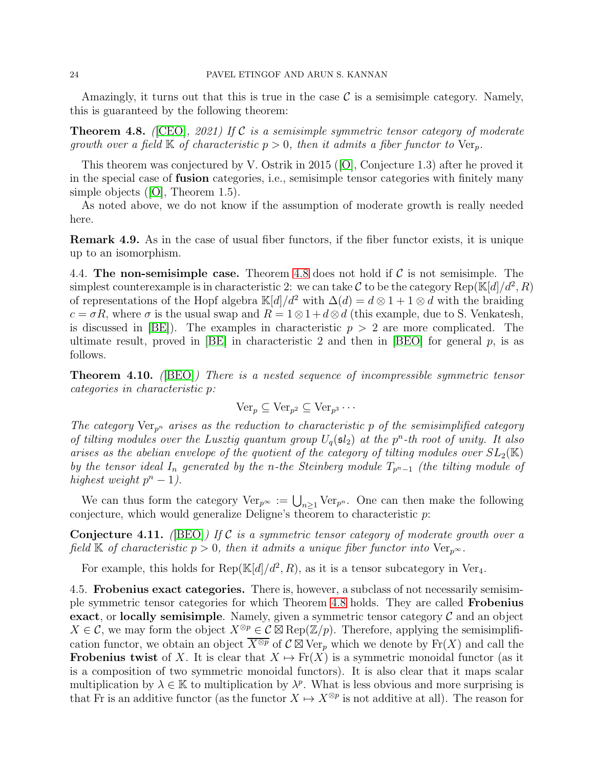<span id="page-23-0"></span>Amazingly, it turns out that this is true in the case  $\mathcal C$  is a semisimple category. Namely, this is guaranteed by the following theorem:

Theorem 4.8. *(*[\[CEO\]](#page-32-3)*, 2021) If* C *is a semisimple symmetric tensor category of moderate growth over a field*  $\mathbb{K}$  *of characteristic*  $p > 0$ *, then it admits a fiber functor to* Ver<sub>p</sub>.

This theorem was conjectured by V. Ostrik in 2015([\[O\]](#page-33-5), Conjecture 1.3) after he proved it in the special case of fusion categories, i.e., semisimple tensor categories with finitely many simple objects([\[O\]](#page-33-5), Theorem 1.5).

As noted above, we do not know if the assumption of moderate growth is really needed here.

Remark 4.9. As in the case of usual fiber functors, if the fiber functor exists, it is unique up to an isomorphism.

4.4. The non-semisimple case. Theorem [4.8](#page-23-0) does not hold if  $\mathcal C$  is not semisimple. The simplest counterexample is in characteristic 2: we can take C to be the category Rep( $\mathbb{K}[d]/d^2$ , R) of representations of the Hopf algebra K[d]/d<sup>2</sup> with  $\Delta(d) = d \otimes 1 + 1 \otimes d$  with the braiding  $c = \sigma R$ , where  $\sigma$  is the usual swap and  $R = 1 \otimes 1 + d \otimes d$  (this example, due to S. Venkatesh, is discussed in  $|BE|$ . The examples in characteristic  $p > 2$  are more complicated. The ultimate result, proved in  $[BE]$  in characteristic 2 and then in  $[BEO]$  for general p, is as follows.

Theorem 4.10. *(*[\[BEO\]](#page-32-5)*) There is a nested sequence of incompressible symmetric tensor categories in characteristic* p*:*

$$
\operatorname{Ver}_p \subseteq \operatorname{Ver}_{p^2} \subseteq \operatorname{Ver}_{p^3} \cdots
$$

*The category*  $Ver_{p^n}$  *arises as the reduction to characteristic* p *of the semisimplified category of tilting modules over the Lusztig quantum group*  $U_q(\mathfrak{sl}_2)$  *at the*  $p^n$ -th root of unity. It also *arises as the abelian envelope of the quotient of the category of tilting modules over*  $SL_2(\mathbb{K})$ *by the tensor ideal*  $I_n$  *generated by the n-the Steinberg module*  $T_{p<sup>n</sup>−1}$  *(the tilting module of highest weight*  $p^{n} - 1$ *).* 

<span id="page-23-1"></span>We can thus form the category  $\text{Ver}_{p^{\infty}} := \bigcup_{n \geq 1} \text{Ver}_{p^n}$ . One can then make the following conjecture, which would generalize Deligne's theorem to characteristic p:

Conjecture 4.11. *(*[\[BEO\]](#page-32-5)*) If* C *is a symmetric tensor category of moderate growth over a field* K *of characteristic*  $p > 0$ *, then it admits a unique fiber functor into* Ver<sub>p</sub> $\infty$ *.* 

For example, this holds for  $\text{Rep}(\mathbb{K}[d]/d^2, R)$ , as it is a tensor subcategory in Ver<sub>4</sub>.

4.5. Frobenius exact categories. There is, however, a subclass of not necessarily semisimple symmetric tensor categories for which Theorem [4.8](#page-23-0) holds. They are called Frobenius exact, or locally semisimple. Namely, given a symmetric tensor category  $\mathcal C$  and an object  $X \in \mathcal{C}$ , we may form the object  $X^{\otimes p} \in \mathcal{C} \boxtimes \text{Rep}(\mathbb{Z}/p)$ . Therefore, applying the semisimplification functor, we obtain an object  $\overline{X^{\otimes p}}$  of  $\mathcal{C} \boxtimes \mathrm{Ver}_p$  which we denote by  $\mathrm{Fr}(X)$  and call the **Frobenius twist** of X. It is clear that  $X \mapsto Fr(X)$  is a symmetric monoidal functor (as it is a composition of two symmetric monoidal functors). It is also clear that it maps scalar multiplication by  $\lambda \in \mathbb{K}$  to multiplication by  $\lambda^p$ . What is less obvious and more surprising is that Fr is an additive functor (as the functor  $X \mapsto X^{\otimes p}$  is not additive at all). The reason for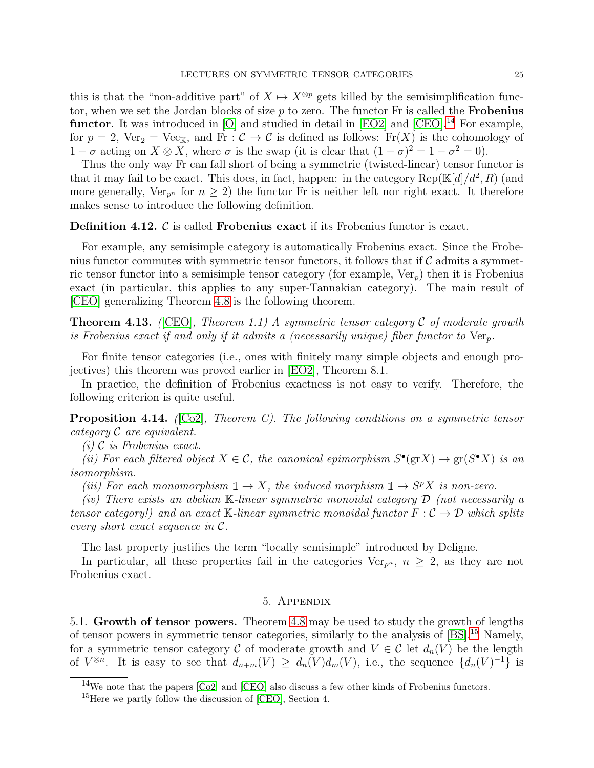this is that the "non-additive part" of  $X \mapsto X^{\otimes p}$  gets killed by the semisimplification functor, when we set the Jordan blocks of size  $p$  to zero. The functor Fr is called the **Frobenius** functor. It was introduced in  $[O]$  and studied in detail in  $[EO2]$  and  $[CEO].^{14}$  $[CEO].^{14}$  $[CEO].^{14}$  For example, for  $p = 2$ ,  $Ver_2 = Vec_{K}$ , and  $Fr : C \to C$  is defined as follows:  $Fr(X)$  is the cohomology of  $1 - \sigma$  acting on  $X \otimes X$ , where  $\sigma$  is the swap (it is clear that  $(1 - \sigma)^2 = 1 - \sigma^2 = 0$ ).

Thus the only way Fr can fall short of being a symmetric (twisted-linear) tensor functor is that it may fail to be exact. This does, in fact, happen: in the category  $\text{Rep}(\mathbb{K}[d]/d^2, R)$  (and more generally,  $Ver_{p^n}$  for  $n \geq 2$ ) the functor Fr is neither left nor right exact. It therefore makes sense to introduce the following definition.

Definition 4.12. C is called Frobenius exact if its Frobenius functor is exact.

For example, any semisimple category is automatically Frobenius exact. Since the Frobenius functor commutes with symmetric tensor functors, it follows that if  $\mathcal C$  admits a symmetric tensor functor into a semisimple tensor category (for example,  $Ver<sub>n</sub>$ ) then it is Frobenius exact (in particular, this applies to any super-Tannakian category). The main result of [\[CEO\]](#page-32-3) generalizing Theorem [4.8](#page-23-0) is the following theorem.

<span id="page-24-3"></span>Theorem 4.13. *(*[\[CEO\]](#page-32-3)*, Theorem 1.1) A symmetric tensor category* C *of moderate growth is Frobenius exact if and only if it admits a (necessarily unique) fiber functor to*  $Ver_n$ .

For finite tensor categories (i.e., ones with finitely many simple objects and enough projectives) this theorem was proved earlier in [\[EO2\]](#page-33-14), Theorem 8.1.

In practice, the definition of Frobenius exactness is not easy to verify. Therefore, the following criterion is quite useful.

Proposition 4.14. *(*[\[Co2\]](#page-32-10)*, Theorem C). The following conditions on a symmetric tensor category* C *are equivalent.*

*(i)* C *is Frobenius exact.*

(*ii*) For each filtered object  $X \in \mathcal{C}$ , the canonical epimorphism  $S^{\bullet}(\text{gr} X) \to \text{gr}(S^{\bullet} X)$  is an *isomorphism.*

*(iii)* For each monomorphism  $1 \rightarrow X$ , the induced morphism  $1 \rightarrow S^p X$  *is non-zero.* 

*(iv) There exists an abelian* K*-linear symmetric monoidal category* D *(not necessarily a tensor category!) and an exact* K-linear symmetric monoidal functor  $F: \mathcal{C} \to \mathcal{D}$  which splits *every short exact sequence in* C*.*

The last property justifies the term "locally semisimple" introduced by Deligne.

<span id="page-24-0"></span>In particular, all these properties fail in the categories Ver<sub>p<sup>n</sub></sup>,  $n \geq 2$ , as they are not</sub> Frobenius exact.

## 5. Appendix

5.1. Growth of tensor powers. Theorem [4.8](#page-23-0) may be used to study the growth of lengths of tensor powers in symmetric tensor categories, similarly to the analysis of  $[BS]$ <sup>[15](#page-24-2)</sup> Namely, for a symmetric tensor category C of moderate growth and  $V \in \mathcal{C}$  let  $d_n(V)$  be the length of  $V^{\otimes n}$ . It is easy to see that  $d_{n+m}(V) \geq d_n(V)d_m(V)$ , i.e., the sequence  $\{d_n(V)^{-1}\}$  is

<sup>&</sup>lt;sup>14</sup>We note that the papers  $[Co2]$  and  $[CEO]$  also discuss a few other kinds of Frobenius functors.

<span id="page-24-2"></span><span id="page-24-1"></span><sup>&</sup>lt;sup>15</sup>Here we partly follow the discussion of [\[CEO\]](#page-32-3), Section 4.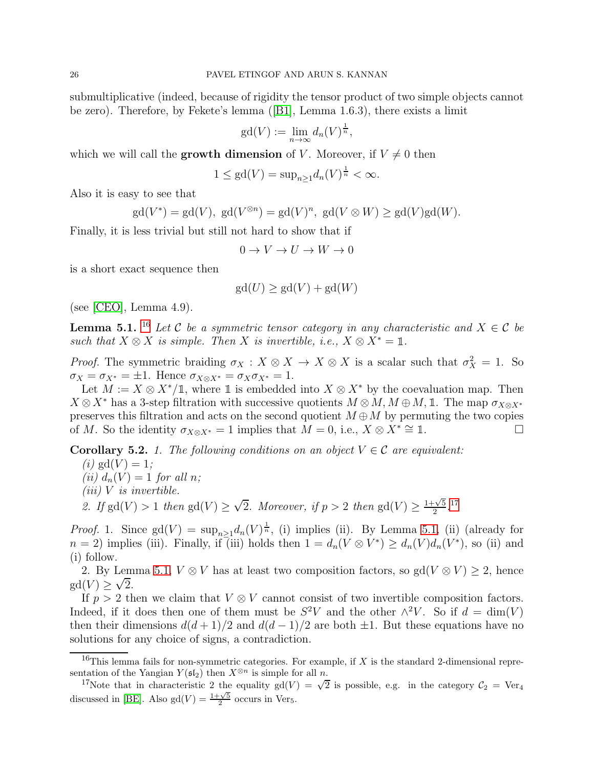submultiplicative (indeed, because of rigidity the tensor product of two simple objects cannot be zero). Therefore, by Fekete's lemma([\[B1\]](#page-32-12), Lemma 1.6.3), there exists a limit

$$
\gcd(V) := \lim_{n \to \infty} d_n(V)^{\frac{1}{n}},
$$

which we will call the **growth dimension** of V. Moreover, if  $V \neq 0$  then

$$
1 \le \text{gd}(V) = \text{sup}_{n \ge 1} d_n(V)^{\frac{1}{n}} < \infty.
$$

Also it is easy to see that

$$
\mathrm{gd}(V^*) = \mathrm{gd}(V), \ \mathrm{gd}(V^{\otimes n}) = \mathrm{gd}(V)^n, \ \mathrm{gd}(V \otimes W) \ge \mathrm{gd}(V)\mathrm{gd}(W).
$$

Finally, it is less trivial but still not hard to show that if

$$
0 \to V \to U \to W \to 0
$$

is a short exact sequence then

$$
\mathrm{gd}(U) \ge \mathrm{gd}(V) + \mathrm{gd}(W)
$$

<span id="page-25-2"></span>(see [\[CEO\]](#page-32-3), Lemma 4.9).

**Lemma 5.1.** <sup>[16](#page-25-0)</sup> Let C be a symmetric tensor category in any characteristic and  $X \in \mathcal{C}$  be *such that*  $X \otimes X$  *is simple. Then* X *is invertible, i.e.,*  $X \otimes X^* = \mathbb{1}$ .

*Proof.* The symmetric braiding  $\sigma_X : X \otimes X \to X \otimes X$  is a scalar such that  $\sigma_X^2 = 1$ . So  $\sigma_X = \sigma_{X^*} = \pm 1$ . Hence  $\sigma_{X \otimes X^*} = \sigma_X \sigma_{X^*} = 1$ .

Let  $M := X \otimes X^*/1$ , where 1 is embedded into  $X \otimes X^*$  by the coevaluation map. Then  $X \otimes X^*$  has a 3-step filtration with successive quotients  $M \otimes M$ ,  $M \oplus M$ , 1. The map  $\sigma_{X \otimes X^*}$ preserves this filtration and acts on the second quotient  $M \oplus M$  by permuting the two copies of M. So the identity  $\sigma_{X \otimes X^*} = 1$  implies that  $M = 0$ , i.e.,  $X \otimes X^* \cong \mathbb{1}$ . of M. So the identity  $\sigma_{X\otimes X^*} = 1$  implies that  $M = 0$ , i.e.,  $X \otimes X^* \cong \mathbb{1}$ .

Corollary 5.2. *1. The following conditions on an object*  $V \in \mathcal{C}$  *are equivalent:* 

 $(i)$  gd( $V$ ) = 1; *(ii)*  $d_n(V) = 1$  *for all n; (iii)* V *is invertible.* 2. If gd(V) > 1 *then* gd(V)  $\geq \sqrt{2}$ . Moreover, if  $p > 2$  *then* gd(V)  $\geq \frac{1+\sqrt{5}}{2}$ 

*Proof.* 1. Since  $gd(V) = \sup_{n \geq 1} d_n(V)^{\frac{1}{n}}$ , (i) implies (ii). By Lemma [5.1,](#page-25-2) (ii) (already for  $n = 2$ ) implies (iii). Finally, if (iii) holds then  $1 = d_n(V \otimes V^*) \ge d_n(V) d_n(V^*)$ , so (ii) and (i) follow.

 $\frac{-\sqrt{5}}{2}$ .<sup>[17](#page-25-1)</sup>

2. By Lemma [5.1,](#page-25-2)  $V \otimes V$  has at least two composition factors, so gd( $V \otimes V$ ) ≥ 2, hence  $gd(V) \geq \sqrt{2}$ .

If  $p > 2$  then we claim that  $V \otimes V$  cannot consist of two invertible composition factors. Indeed, if it does then one of them must be  $S^2V$  and the other  $\wedge^2V$ . So if  $d = \dim(V)$ then their dimensions  $d(d+1)/2$  and  $d(d-1)/2$  are both  $\pm 1$ . But these equations have no solutions for any choice of signs, a contradiction.

<sup>&</sup>lt;sup>16</sup>This lemma fails for non-symmetric categories. For example, if  $X$  is the standard 2-dimensional representation of the Yangian  $Y(\mathfrak{sl}_2)$  then  $X^{\otimes n}$  is simple for all n.

<span id="page-25-1"></span><span id="page-25-0"></span><sup>&</sup>lt;sup>17</sup>Note that in characteristic 2 the equality gd(V) =  $\sqrt{2}$  is possible, e.g. in the category  $C_2$  = Ver<sub>4</sub> discussed in [\[BE\]](#page-32-4). Also gd(V) =  $\frac{1+\sqrt{5}}{2}$  occurs in Vers.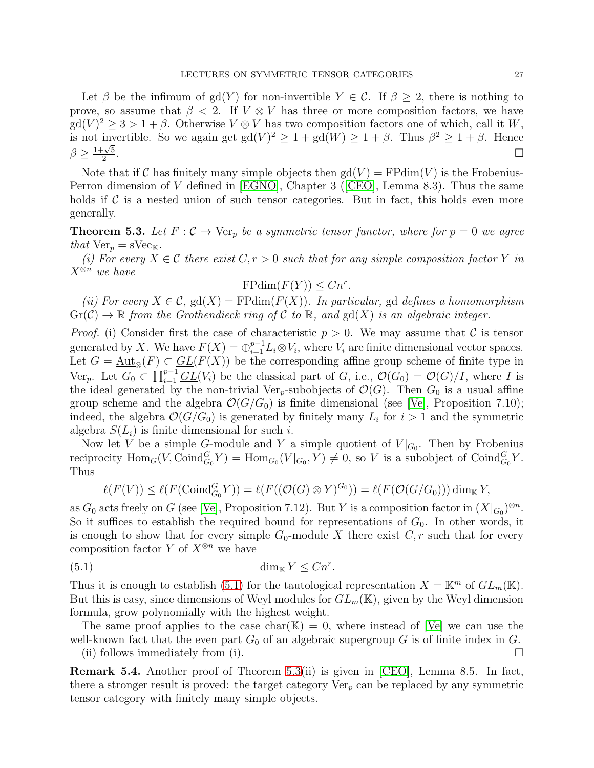Let  $\beta$  be the infimum of gd(Y) for non-invertible  $Y \in \mathcal{C}$ . If  $\beta \geq 2$ , there is nothing to prove, so assume that  $\beta < 2$ . If  $V \otimes V$  has three or more composition factors, we have  $gd(V)^2 \geq 3 > 1 + \beta$ . Otherwise  $V \otimes V$  has two composition factors one of which, call it W, is not invertible. So we again get  $gd(V)^2 \geq 1 + gd(W) \geq 1 + \beta$ . Thus  $\beta^2 \geq 1 + \beta$ . Hence  $\beta \geq \frac{1+\sqrt{5}}{2}$ 2 .

Note that if C has finitely many simple objects then  $gd(V) = FPdim(V)$  is the Frobenius-Perron dimension of V defined in [\[EGNO\]](#page-33-6), Chapter 3([\[CEO\]](#page-32-3), Lemma 8.3). Thus the same holds if  $\mathcal C$  is a nested union of such tensor categories. But in fact, this holds even more generally.

<span id="page-26-1"></span>**Theorem 5.3.** Let  $F: \mathcal{C} \to \text{Ver}_p$  be a symmetric tensor functor, where for  $p = 0$  we agree *that*  $Ver_p = sVec_{K}$ .

*(i)* For every  $\overline{X} \in \mathcal{C}$  there exist  $C, r > 0$  such that for any simple composition factor Y *in* X⊗<sup>n</sup> *we have*

$$
\mathrm{FPdim}(F(Y)) \leq Cn^r.
$$

*(ii) For every*  $X \in \mathcal{C}$ ,  $gd(X) = FPdim(F(X))$ *. In particular,* gd *defines a homomorphism*  $Gr(\mathcal{C}) \to \mathbb{R}$  *from the Grothendieck ring of*  $\mathcal{C}$  *to*  $\mathbb{R}$ *, and*  $gd(X)$  *is an algebraic integer.* 

*Proof.* (i) Consider first the case of characteristic  $p > 0$ . We may assume that C is tensor generated by X. We have  $F(X) = \bigoplus_{i=1}^{p-1} L_i \otimes V_i$ , where  $V_i$  are finite dimensional vector spaces. Let  $G = \underline{\text{Aut}_{\otimes}(F)} \subset \underline{GL}(F(X))$  be the corresponding affine group scheme of finite type in Ver<sub>p</sub>. Let  $G_0 \subset \prod_{i=1}^{p-1} \underline{GL}(V_i)$  be the classical part of G, i.e.,  $\mathcal{O}(G_0) = \mathcal{O}(G)/I$ , where I is the ideal generated by the non-trivial Ver<sub>p</sub>-subobjects of  $\mathcal{O}(G)$ . Then  $G_0$  is a usual affine group scheme and the algebra  $\mathcal{O}(G/G_0)$  is finite dimensional (see [\[Ve\]](#page-33-15), Proposition 7.10); indeed, the algebra  $\mathcal{O}(G/G_0)$  is generated by finitely many  $L_i$  for  $i > 1$  and the symmetric algebra  $S(L_i)$  is finite dimensional for such i.

Now let V be a simple G-module and Y a simple quotient of  $V|_{G_0}$ . Then by Frobenius reciprocity  $\text{Hom}_G(V, \text{Coind}_{G_0}^G Y) = \text{Hom}_{G_0}(V|_{G_0}, Y) \neq 0$ , so V is a subobject of  $\text{Coind}_{G_0}^G Y$ . Thus

<span id="page-26-0"></span>
$$
\ell(F(V)) \leq \ell(F(\mathrm{Coind}_{G_0}^G Y)) = \ell(F((\mathcal{O}(G) \otimes Y)^{G_0})) = \ell(F(\mathcal{O}(G/G_0))) \dim_{\mathbb{K}} Y,
$$

as  $G_0$  acts freely on G (see [\[Ve\]](#page-33-15), Proposition 7.12). But Y is a composition factor in  $(X|_{G_0})^{\otimes n}$ . So it suffices to establish the required bound for representations of  $G_0$ . In other words, it is enough to show that for every simple  $G_0$ -module X there exist  $C, r$  such that for every composition factor Y of  $X^{\otimes n}$  we have

$$
\dim_{\mathbb{K}} Y \le Cn^r.
$$

Thus it is enough to establish [\(5.1\)](#page-26-0) for the tautological representation  $X = \mathbb{K}^m$  of  $GL_m(\mathbb{K})$ . But this is easy, since dimensions of Weyl modules for  $GL_m(\mathbb{K})$ , given by the Weyl dimension formula, grow polynomially with the highest weight.

The same proof applies to the case char( $K$ ) = 0, where instead of [\[Ve\]](#page-33-15) we can use the well-known fact that the even part  $G_0$  of an algebraic supergroup G is of finite index in G.

(ii) follows immediately from (i).  $\Box$ 

Remark 5.4. Another proof of Theorem [5.3\(](#page-26-1)ii) is given in [\[CEO\]](#page-32-3), Lemma 8.5. In fact, there a stronger result is proved: the target category  $Ver_p$  can be replaced by any symmetric tensor category with finitely many simple objects.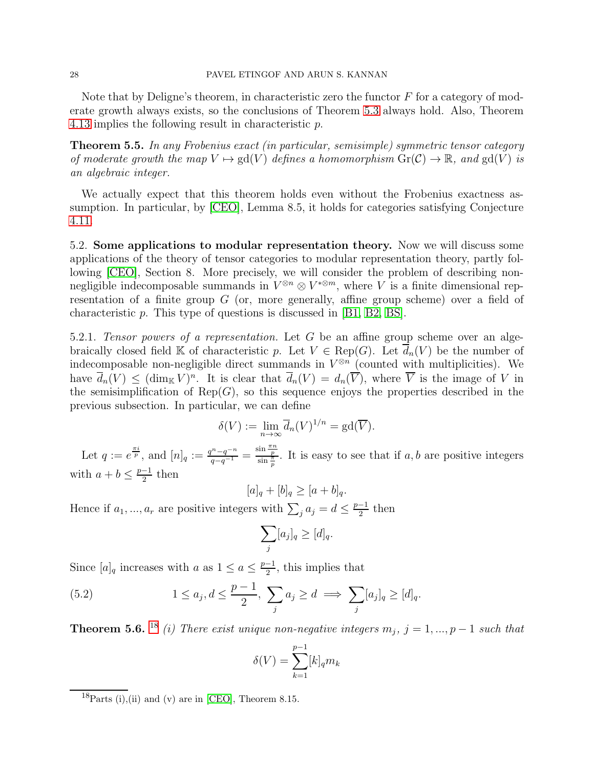Note that by Deligne's theorem, in characteristic zero the functor  $F$  for a category of moderate growth always exists, so the conclusions of Theorem [5.3](#page-26-1) always hold. Also, Theorem [4.13](#page-24-3) implies the following result in characteristic p.

Theorem 5.5. *In any Frobenius exact (in particular, semisimple) symmetric tensor category of moderate growth the map*  $V \mapsto \text{gd}(V)$  *defines a homomorphism*  $\text{Gr}(\mathcal{C}) \to \mathbb{R}$ *, and*  $\text{gd}(V)$  *is an algebraic integer.*

We actually expect that this theorem holds even without the Frobenius exactness assumption. In particular, by [\[CEO\]](#page-32-3), Lemma 8.5, it holds for categories satisfying Conjecture [4.11.](#page-23-1)

5.2. Some applications to modular representation theory. Now we will discuss some applications of the theory of tensor categories to modular representation theory, partly following [\[CEO\]](#page-32-3), Section 8. More precisely, we will consider the problem of describing nonnegligible indecomposable summands in  $V^{\otimes n} \otimes V^{*\otimes m}$ , where V is a finite dimensional representation of a finite group  $G$  (or, more generally, affine group scheme) over a field of characteristic p. This type of questions is discussed in [\[B1,](#page-32-12) [B2,](#page-32-13) [BS\]](#page-32-11).

5.2.1. *Tensor powers of a representation.* Let G be an affine group scheme over an algebraically closed field K of characteristic p. Let  $V \in \text{Rep}(G)$ . Let  $d_n(V)$  be the number of indecomposable non-negligible direct summands in  $V^{\otimes n}$  (counted with multiplicities). We have  $\overline{d}_n(V) \leq (\dim_{\mathbb{K}} V)^n$ . It is clear that  $\overline{d}_n(V) = d_n(\overline{V})$ , where  $\overline{V}$  is the image of V in the semisimplification of  $\text{Rep}(G)$ , so this sequence enjoys the properties described in the previous subsection. In particular, we can define

$$
\delta(V) := \lim_{n \to \infty} \overline{d}_n(V)^{1/n} = \text{gd}(\overline{V}).
$$

Let  $q := e^{\frac{\pi i}{p}}$ , and  $[n]_q := \frac{q^n - q^{-n}}{q - q^{-1}} = \frac{\sin \frac{\pi n}{p}}{\sin \frac{\pi}{p}}$ . It is easy to see that if  $a, b$  are positive integers with  $a + b \leq \frac{p-1}{2}$  then

$$
[a]_q + [b]_q \geq [a+b]_q.
$$

Hence if  $a_1, ..., a_r$  are positive integers with  $\sum_j a_j = d \leq \frac{p-1}{2}$  then

$$
\sum_j [a_j]_q \geq [d]_q.
$$

Since  $[a]_q$  increases with a as  $1 \le a \le \frac{p-1}{2}$ , this implies that

(5.2) 
$$
1 \le a_j, d \le \frac{p-1}{2}, \sum_j a_j \ge d \implies \sum_j [a_j]_q \ge [d]_q.
$$

**Theorem 5.6.** <sup>[18](#page-27-0)</sup> *(i)* There exist unique non-negative integers  $m_j$ ,  $j = 1, ..., p - 1$  such that

<span id="page-27-1"></span>
$$
\delta(V) = \sum_{k=1}^{p-1} [k]_q m_k
$$

<span id="page-27-0"></span> $\frac{18}{Parts(i)}$ , (ii) and (v) are in [\[CEO\]](#page-32-3), Theorem 8.15.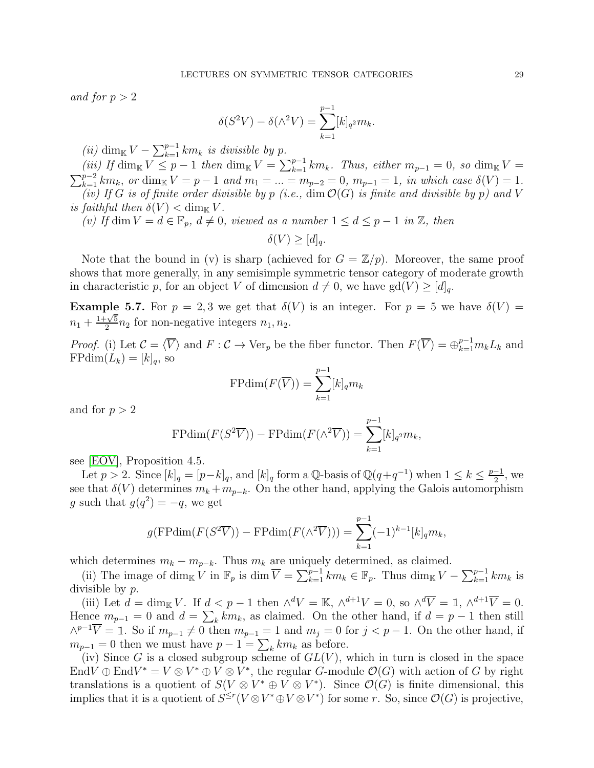*and for*  $p > 2$ 

$$
\delta(S^2V) - \delta(\wedge^2 V) = \sum_{k=1}^{p-1} [k]_{q^2} m_k.
$$

*(ii)* dim<sub>K</sub>  $V - \sum_{k=1}^{p-1} km_k$  *is divisible by p*.

*(iii)* If  $\dim_{\mathbb{K}} V \leq p - 1$  then  $\dim_{\mathbb{K}} V = \sum_{k=1}^{p-1} km_k$ . Thus, either  $m_{p-1} = 0$ , so  $\dim_{\mathbb{K}} V =$ <br> $\sum_{k=1}^{p-2} km_k$ , or  $\dim_{\mathbb{K}} V = p - 1$  and  $m_1 = m_{k-2} = 0$ ,  $m_{k-1} = 1$  in which case  $\delta(V) = 1$  $\sum_{k=1}^{p-2} km_k$ , *or* dim<sub>K</sub>  $V = p - 1$  *and*  $m_1 = ... = m_{p-2} = 0$ ,  $m_{p-1} = 1$ , *in which case*  $\delta(V) = 1$ *. (iv)* If G is of finite order divisible by p (i.e., dim  $\mathcal{O}(G)$  is finite and divisible by p) and V *is faithful then*  $\delta(V) < \dim_{\mathbb{K}} V$ .

*(v)* If dim  $V = d \in \mathbb{F}_p$ ,  $d \neq 0$ , viewed as a number  $1 \leq d \leq p-1$  in  $\mathbb{Z}$ , then

$$
\delta(V) \ge [d]_q.
$$

Note that the bound in (v) is sharp (achieved for  $G = \mathbb{Z}/p$ ). Moreover, the same proof shows that more generally, in any semisimple symmetric tensor category of moderate growth in characteristic p, for an object V of dimension  $d \neq 0$ , we have  $gd(V) \geq [d]_q$ .

**Example 5.7.** For  $p = 2, 3$  we get that  $\delta(V)$  is an integer. For  $p = 5$  we have  $\delta(V) =$  $n_1 + \frac{1+\sqrt{5}}{2}$  $\frac{1}{2} \sqrt[2]{2} n_2$  for non-negative integers  $n_1, n_2$ .

*Proof.* (i) Let  $\mathcal{C} = \langle \overline{V} \rangle$  and  $F : \mathcal{C} \to \text{Ver}_p$  be the fiber functor. Then  $F(\overline{V}) = \bigoplus_{k=1}^{p-1} m_k L_k$  and  $\text{FPdim}(L_k) = [k]_q$ , so

$$
\mathrm{FPdim}(F(\overline{V})) = \sum_{k=1}^{p-1} [k]_q m_k
$$

and for  $p > 2$ 

$$
\mathrm{FPdim}(F(S^2\overline{V})) - \mathrm{FPdim}(F(\wedge^2\overline{V})) = \sum_{k=1}^{p-1} [k]_{q^2} m_k,
$$

see [\[EOV\]](#page-33-16), Proposition 4.5.

Let  $p > 2$ . Since  $[k]_q = [p-k]_q$ , and  $[k]_q$  form a Q-basis of  $\mathbb{Q}(q+q^{-1})$  when  $1 \leq k \leq \frac{p-1}{2}$ , we see that  $\delta(V)$  determines  $m_k + m_{p-k}$ . On the other hand, applying the Galois automorphism g such that  $g(q^2) = -q$ , we get

$$
g(\mathbf{FPdim}(F(S^2\overline{V})) - \mathbf{FPdim}(F(\wedge^2\overline{V}))) = \sum_{k=1}^{p-1} (-1)^{k-1} [k]_q m_k,
$$

which determines  $m_k - m_{p-k}$ . Thus  $m_k$  are uniquely determined, as claimed.

(ii) The image of dim<sub>K</sub> V in  $\mathbb{F}_p$  is dim  $\overline{V} = \sum_{k=1}^{p-1} km_k \in \mathbb{F}_p$ . Thus dim<sub>K</sub>  $V - \sum_{k=1}^{p-1} km_k$  is divisible by p.

(iii) Let  $d = \dim_{\mathbb{K}} V$ . If  $d < p - 1$  then  $\wedge^d V = \mathbb{K}$ ,  $\wedge^{d+1} V = 0$ , so  $\wedge^d \overline{V} = \mathbb{1}$ ,  $\wedge^{d+1} \overline{V} = 0$ . Hence  $m_{p-1} = 0$  and  $d = \sum_{k} km_k$ , as claimed. On the other hand, if  $d = p - 1$  then still  $\wedge^{p-1}V = \mathbb{1}$ . So if  $m_{p-1} \neq 0$  then  $m_{p-1} = 1$  and  $m_j = 0$  for  $j < p-1$ . On the other hand, if  $m_{p-1} = 0$  then we must have  $p - 1 = \sum_{k} km_k$  as before.

(iv) Since G is a closed subgroup scheme of  $GL(V)$ , which in turn is closed in the space End $V \oplus \text{End}V^* = V \otimes V^* \oplus V \otimes V^*$ , the regular G-module  $\mathcal{O}(G)$  with action of G by right translations is a quotient of  $S(V \otimes V^* \oplus V \otimes V^*)$ . Since  $\mathcal{O}(G)$  is finite dimensional, this implies that it is a quotient of  $S^{\leq r}(V \otimes V^* \oplus V \otimes V^*)$  for some r. So, since  $\mathcal{O}(G)$  is projective,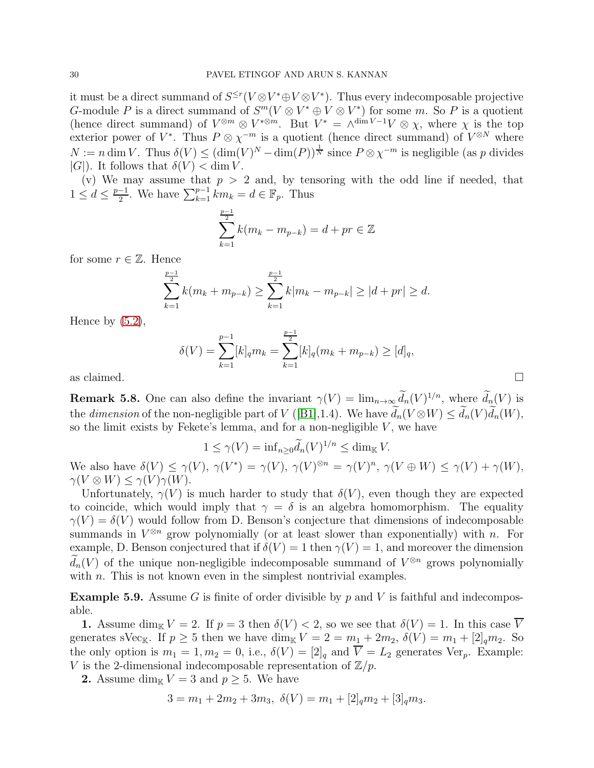it must be a direct summand of  $S^{\leq r}(V \otimes V^* \oplus V \otimes V^*)$ . Thus every indecomposable projective G-module P is a direct summand of  $S^m(V \otimes V^* \oplus V \otimes V^*)$  for some m. So P is a quotient (hence direct summand) of  $V^{\otimes m} \otimes V^{*\otimes m}$ . But  $V^* = \wedge^{\dim V - 1}V \otimes \chi$ , where  $\chi$  is the top exterior power of  $V^*$ . Thus  $P \otimes \chi^{-m}$  is a quotient (hence direct summand) of  $V^{\otimes N}$  where  $N := n \dim V$ . Thus  $\delta(V) \leq (\dim(V)^N - \dim(P))^{\frac{1}{N}}$  since  $P \otimes \chi^{-m}$  is negligible (as p divides  $|G|$ ). It follows that  $\delta(V) < \dim V$ .

(v) We may assume that  $p > 2$  and, by tensoring with the odd line if needed, that  $1 \leq d \leq \frac{p-1}{2}$ . We have  $\sum_{k=1}^{p-1} km_k = d \in \mathbb{F}_p$ . Thus

$$
\sum_{k=1}^{\frac{p-1}{2}} k(m_k - m_{p-k}) = d + pr \in \mathbb{Z}
$$

for some  $r \in \mathbb{Z}$ . Hence

$$
\sum_{k=1}^{\frac{p-1}{2}} k(m_k + m_{p-k}) \ge \sum_{k=1}^{\frac{p-1}{2}} k|m_k - m_{p-k}| \ge |d + pr| \ge d.
$$

Hence by  $(5.2)$ ,

$$
\delta(V) = \sum_{k=1}^{p-1} [k]_q m_k = \sum_{k=1}^{p-1} [k]_q (m_k + m_{p-k}) \ge [d]_q,
$$
  
as claimed.

**Remark 5.8.** One can also define the invariant  $\gamma(V) = \lim_{n \to \infty} d_n(V)^{1/n}$ , where  $d_n(V)$  is the *dimension* of the non-negligible part of  $V$  ([\[B1\]](#page-32-12),1.4). We have  $d_n(V \otimes W) \leq d_n(V) d_n(W)$ , so the limit exists by Fekete's lemma, and for a non-negligible  $V$ , we have

$$
1 \le \gamma(V) = \inf_{n \ge 0} \tilde{d}_n(V)^{1/n} \le \dim_{\mathbb{K}} V.
$$

We also have  $\delta(V) \leq \gamma(V)$ ,  $\gamma(V^*) = \gamma(V)$ ,  $\gamma(V)^{\otimes n} = \gamma(V)^n$ ,  $\gamma(V \oplus W) \leq \gamma(V) + \gamma(W)$ ,  $\gamma(V \otimes W) \leq \gamma(V) \gamma(W).$ 

Unfortunately,  $\gamma(V)$  is much harder to study that  $\delta(V)$ , even though they are expected to coincide, which would imply that  $\gamma = \delta$  is an algebra homomorphism. The equality  $\gamma(V) = \delta(V)$  would follow from D. Benson's conjecture that dimensions of indecomposable summands in  $V^{\otimes n}$  grow polynomially (or at least slower than exponentially) with n. For example, D. Benson conjectured that if  $\delta(V) = 1$  then  $\gamma(V) = 1$ , and moreover the dimension  $d_n(V)$  of the unique non-negligible indecomposable summand of  $V^{\otimes n}$  grows polynomially with *n*. This is not known even in the simplest nontrivial examples.

**Example 5.9.** Assume G is finite of order divisible by p and V is faithful and indecomposable.

1. Assume dim<sub>K</sub>  $V = 2$ . If  $p = 3$  then  $\delta(V) < 2$ , so we see that  $\delta(V) = 1$ . In this case  $\overline{V}$ generates sVec<sub>K</sub>. If  $p \ge 5$  then we have dim<sub>K</sub>  $V = 2 = m_1 + 2m_2$ ,  $\delta(V) = m_1 + 2m_2$ . So the only option is  $m_1 = 1, m_2 = 0$ , i.e.,  $\delta(V) = [2]_q$  and  $\overline{V} = L_2$  generates Ver<sub>p</sub>. Example: V is the 2-dimensional indecomposable representation of  $\mathbb{Z}/p$ .

2. Assume dim<sub>K</sub>  $V = 3$  and  $p \ge 5$ . We have

$$
3 = m_1 + 2m_2 + 3m_3, \ \delta(V) = m_1 + [2]_q m_2 + [3]_q m_3.
$$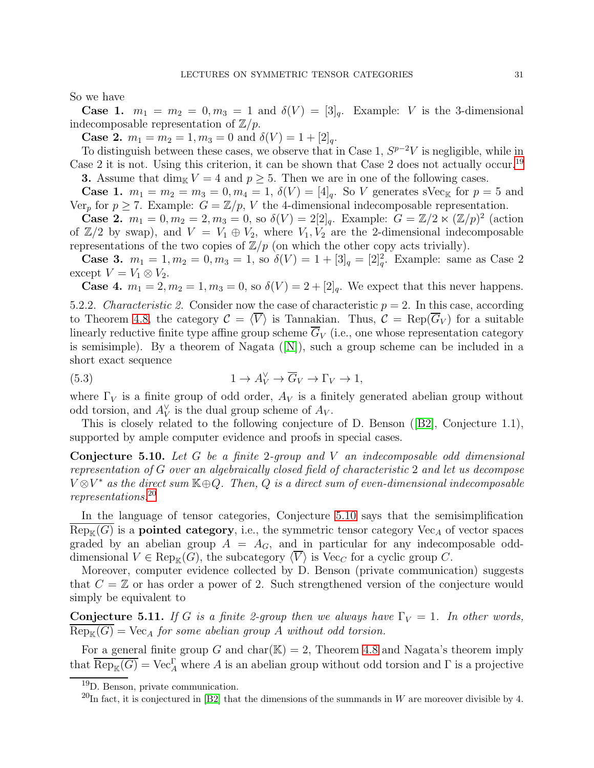So we have

**Case 1.**  $m_1 = m_2 = 0, m_3 = 1$  and  $\delta(V) = [3]_q$ . Example: V is the 3-dimensional indecomposable representation of  $\mathbb{Z}/p$ .

**Case 2.**  $m_1 = m_2 = 1, m_3 = 0$  and  $\delta(V) = 1 + [2]_q$ .

To distinguish between these cases, we observe that in Case 1,  $S^{p-2}V$  is negligible, while in Case 2 it is not. Using this criterion, it can be shown that Case 2 does not actually occur.[19](#page-30-0) **3.** Assume that  $\dim_{\mathbb{K}} V = 4$  and  $p \geq 5$ . Then we are in one of the following cases.

**Case 1.**  $m_1 = m_2 = m_3 = 0, m_4 = 1, \ \delta(V) = [4]_q$ . So V generates sVec<sub>K</sub> for  $p = 5$  and Ver<sub>p</sub> for  $p \ge 7$ . Example:  $G = \mathbb{Z}/p$ , V the 4-dimensional indecomposable representation.

**Case 2.**  $m_1 = 0, m_2 = 2, m_3 = 0$ , so  $\delta(V) = 2[2]_q$ . Example:  $G = \mathbb{Z}/2 \times (\mathbb{Z}/p)^2$  (action of  $\mathbb{Z}/2$  by swap), and  $V = V_1 \oplus V_2$ , where  $V_1, V_2$  are the 2-dimensional indecomposable representations of the two copies of  $\mathbb{Z}/p$  (on which the other copy acts trivially).

**Case 3.**  $m_1 = 1, m_2 = 0, m_3 = 1$ , so  $\delta(V) = 1 + [3]_q = [2]_q^2$ . Example: same as Case 2 except  $V = V_1 \otimes V_2$ .

**Case 4.**  $m_1 = 2, m_2 = 1, m_3 = 0$ , so  $\delta(V) = 2 + 2 \vert q$ . We expect that this never happens.

5.2.2. *Characteristic 2.* Consider now the case of characteristic  $p = 2$ . In this case, according to Theorem [4.8,](#page-23-0) the category  $\mathcal{C} = \langle V \rangle$  is Tannakian. Thus,  $\mathcal{C} = \text{Rep}(G_V)$  for a suitable linearly reductive finite type affine group scheme  $\overline{G}_V$  (i.e., one whose representation category is semisimple). By a theorem of Nagata([\[N\]](#page-33-17)), such a group scheme can be included in a short exact sequence

<span id="page-30-4"></span>(5.3) 
$$
1 \to A_V^{\vee} \to \overline{G}_V \to \Gamma_V \to 1,
$$

where  $\Gamma_V$  is a finite group of odd order,  $A_V$  is a finitely generated abelian group without odd torsion, and  $A_V^{\vee}$  is the dual group scheme of  $A_V$ .

<span id="page-30-2"></span>This is closely related to the following conjecture of D. Benson([\[B2\]](#page-32-13), Conjecture 1.1), supported by ample computer evidence and proofs in special cases.

Conjecture 5.10. *Let* G *be a finite* 2*-group and* V *an indecomposable odd dimensional representation of* G *over an algebraically closed field of characteristic* 2 *and let us decompose* V ⊗V <sup>∗</sup> *as the direct sum* K⊕Q*. Then,* Q *is a direct sum of even-dimensional indecomposable representations.*[20](#page-30-1)

In the language of tensor categories, Conjecture [5.10](#page-30-2) says that the semisimplification  $Rep_{\mathbb{K}}(G)$  is a **pointed category**, i.e., the symmetric tensor category  $Vec<sub>A</sub>$  of vector spaces graded by an abelian group  $A = A_G$ , and in particular for any indecomposable odddimensional  $V \in \text{Rep}_{\mathbb{K}}(G)$ , the subcategory  $\langle \overline{V} \rangle$  is Vec<sub>C</sub> for a cyclic group C.

Moreover, computer evidence collected by D. Benson (private communication) suggests that  $C = \mathbb{Z}$  or has order a power of 2. Such strengthened version of the conjecture would simply be equivalent to

<span id="page-30-3"></span>**Conjecture 5.11.** *If* G *is a finite 2-group then we always have*  $\Gamma_V = 1$ *. In other words,*  $\text{Rep}_{\mathbb{K}}(G) = \text{Vec}_{A}$  *for some abelian group* A *without odd torsion.* 

For a general finite group G and char( $\mathbb{K}$ ) = 2, Theorem [4.8](#page-23-0) and Nagata's theorem imply that  $\overline{\text{Rep}_{\mathbb{K}}(G)} = \text{Vec}_{A}^{\Gamma}$  where A is an abelian group without odd torsion and  $\Gamma$  is a projective

<sup>19</sup>D. Benson, private communication.

<span id="page-30-1"></span><span id="page-30-0"></span><sup>&</sup>lt;sup>20</sup>In fact, it is conjectured in [\[B2\]](#page-32-13) that the dimensions of the summands in W are moreover divisible by 4.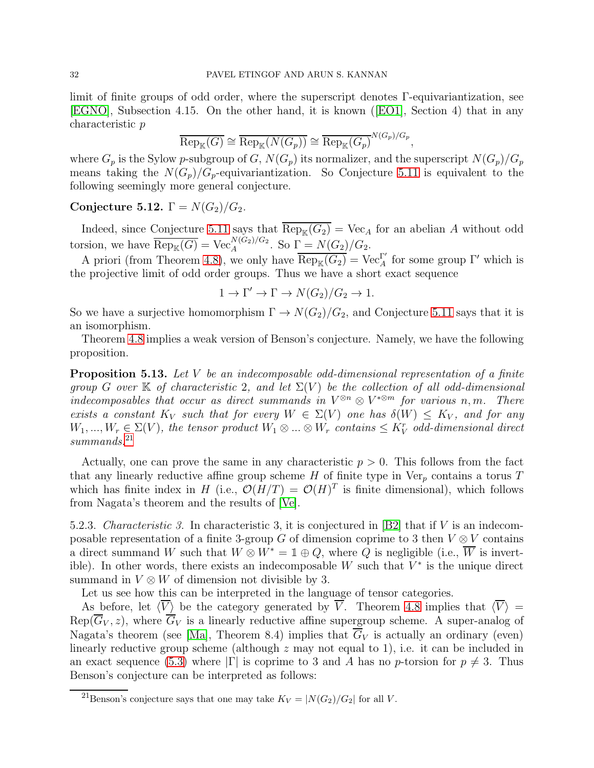limit of finite groups of odd order, where the superscript denotes Γ-equivariantization, see [\[EGNO\]](#page-33-6), Subsection 4.15. On the other hand, it is known([\[EO1\]](#page-33-13), Section 4) that in any characteristic p

$$
\overline{\text{Rep}_{\mathbb{K}}(G)} \cong \overline{\text{Rep}_{\mathbb{K}}(N(G_p))} \cong \overline{\text{Rep}_{\mathbb{K}}(G_p)}^{N(G_p)/G_p}
$$

,

where  $G_p$  is the Sylow p-subgroup of G,  $N(G_p)$  its normalizer, and the superscript  $N(G_p)/G_p$ means taking the  $N(G_p)/G_p$ -equivariantization. So Conjecture [5.11](#page-30-3) is equivalent to the following seemingly more general conjecture.

## Conjecture 5.12.  $\Gamma = N(G_2)/G_2$ .

Indeed, since Conjecture [5.11](#page-30-3) says that  $\overline{\text{Rep}_{K}(G_2)} = \text{Vec}_{A}$  for an abelian A without odd torsion, we have  $\overline{\text{Rep}_{\mathbb{K}}(G)} = \text{Vec}_{A}^{N(G_2)/G_2}$ . So  $\Gamma = N(G_2)/G_2$ .

A priori (from Theorem [4.8\)](#page-23-0), we only have  $\overline{\text{Rep}_{\mathbb{K}}(G_2)} = \text{Vec}^{\Gamma'}_A$  for some group  $\Gamma'$  which is the projective limit of odd order groups. Thus we have a short exact sequence

 $1 \to \Gamma' \to \Gamma \to N(G_2)/G_2 \to 1.$ 

So we have a surjective homomorphism  $\Gamma \to N(G_2)/G_2$ , and Conjecture [5.11](#page-30-3) says that it is an isomorphism.

Theorem [4.8](#page-23-0) implies a weak version of Benson's conjecture. Namely, we have the following proposition.

Proposition 5.13. *Let* V *be an indecomposable odd-dimensional representation of a finite group* G over K of characteristic 2, and let  $\Sigma(V)$  be the collection of all odd-dimensional *indecomposables that occur as direct summands in*  $V^{\otimes n} \otimes V^{*\otimes m}$  *for various* n, m. There *exists a constant*  $K_V$  *such that for every*  $W \in \Sigma(V)$  *one has*  $\delta(W) \leq K_V$ *, and for any*  $W_1, ..., W_r \in \Sigma(V)$ , the tensor product  $W_1 \otimes ... \otimes W_r$  contains  $\leq K_V^r$  odd-dimensional direct *summands.*[21](#page-31-0)

Actually, one can prove the same in any characteristic  $p > 0$ . This follows from the fact that any linearly reductive affine group scheme  $H$  of finite type in  $Ver_p$  contains a torus  $T$ which has finite index in H (i.e.,  $\mathcal{O}(H/T) = \mathcal{O}(H)^T$  is finite dimensional), which follows from Nagata's theorem and the results of [\[Ve\]](#page-33-15).

5.2.3. *Characteristic 3.* In characteristic 3, it is conjectured in [\[B2\]](#page-32-13) that if V is an indecomposable representation of a finite 3-group G of dimension coprime to 3 then  $V \otimes V$  contains a direct summand W such that  $W \otimes W^* = \mathbb{1} \oplus Q$ , where  $\overline{Q}$  is negligible (i.e.,  $\overline{W}$  is invertible). In other words, there exists an indecomposable W such that  $V^*$  is the unique direct summand in  $V \otimes W$  of dimension not divisible by 3.

Let us see how this can be interpreted in the language of tensor categories.

As before, let  $\langle \overline{V} \rangle$  be the category generated by  $\overline{V}$ . Theorem [4.8](#page-23-0) implies that  $\langle \overline{V} \rangle$  =  $Rep(\overline{G}_V, z)$ , where  $\overline{G}_V$  is a linearly reductive affine supergroup scheme. A super-analog of Nagata's theorem (see [\[Ma\]](#page-33-18), Theorem 8.4) implies that  $\overline{G}_V$  is actually an ordinary (even) linearly reductive group scheme (although  $z$  may not equal to 1), i.e. it can be included in an exact sequence [\(5.3\)](#page-30-4) where  $|\Gamma|$  is coprime to 3 and A has no p-torsion for  $p \neq 3$ . Thus Benson's conjecture can be interpreted as follows:

<span id="page-31-0"></span><sup>&</sup>lt;sup>21</sup>Benson's conjecture says that one may take  $K_V = |N(G_2)/G_2|$  for all V.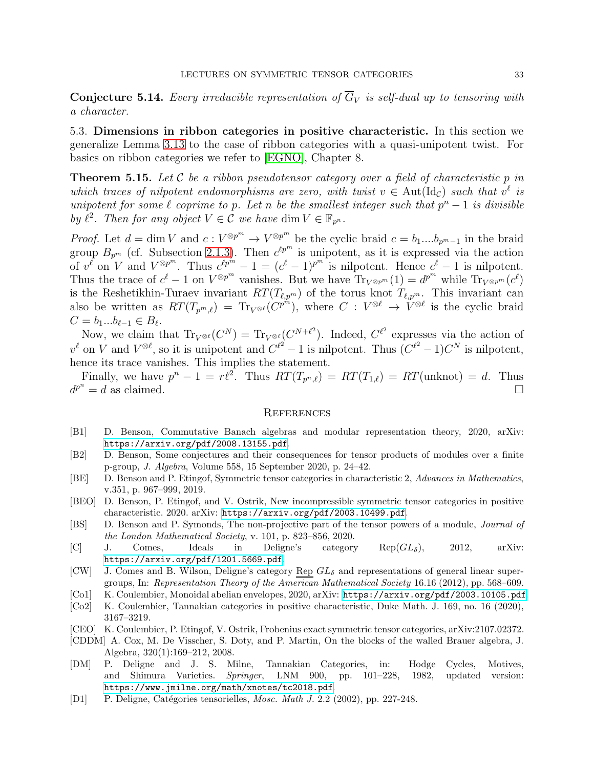**Conjecture 5.14.** Every irreducible representation of  $\overline{G}_V$  is self-dual up to tensoring with *a character.*

5.3. Dimensions in ribbon categories in positive characteristic. In this section we generalize Lemma [3.13](#page-18-1) to the case of ribbon categories with a quasi-unipotent twist. For basics on ribbon categories we refer to [\[EGNO\]](#page-33-6), Chapter 8.

Theorem 5.15. *Let* C *be a ribbon pseudotensor category over a field of characteristic* p *in which traces of nilpotent endomorphisms are zero, with twist*  $v \in \text{Aut}(\text{Id}_c)$  *such that*  $v^{\ell}$  *is unipotent for some*  $\ell$  *coprime to*  $p$ *. Let*  $n$  *be the smallest integer such that*  $p^{n} - 1$  *is divisible by*  $\ell^2$ *. Then for any object*  $V \in \mathcal{C}$  *we have* dim  $V \in \mathbb{F}_{p^n}$ *.* 

*Proof.* Let  $d = \dim V$  and  $c : V^{\otimes p^m} \to V^{\otimes p^m}$  be the cyclic braid  $c = b_1....b_{p^m-1}$  in the braid group  $B_{p^m}$  (cf. Subsection [2.1.3\)](#page-3-0). Then  $c^{tp^m}$  is unipotent, as it is expressed via the action of  $v^{\ell}$  on  $V$  and  $V^{\otimes p^m}$ . Thus  $c^{\ell p^m} - 1 = (c^{\ell} - 1)^{p^m}$  is nilpotent. Hence  $c^{\ell} - 1$  is nilpotent. Thus the trace of  $c^{\ell} - 1$  on  $V^{\otimes p^m}$  vanishes. But we have  $\text{Tr}_{V^{\otimes p^m}}(1) = d^{p^m}$  while  $\text{Tr}_{V^{\otimes p^m}}(c^{\ell})$ is the Reshetikhin-Turaev invariant  $RT(T_{\ell,p^m})$  of the torus knot  $T_{\ell,p^m}$ . This invariant can also be written as  $RT(T_{p^m,\ell}) = Tr_{V^{\otimes \ell}}(C^{p^m})$ , where  $C: V^{\otimes \ell} \to V^{\otimes \ell}$  is the cyclic braid  $C = b_1...b_{\ell-1} \in B_{\ell}.$ 

Now, we claim that  $\text{Tr}_{V^{\otimes \ell}}(C^N) = \text{Tr}_{V^{\otimes \ell}}(C^{N+\ell^2})$ . Indeed,  $C^{\ell^2}$  expresses via the action of  $v^{\ell}$  on V and  $V^{\otimes \ell}$ , so it is unipotent and  $C^{\ell^2} - 1$  is nilpotent. Thus  $(C^{\ell^2} - 1)C^N$  is nilpotent, hence its trace vanishes. This implies the statement.

Finally, we have  $p^{n} - 1 = r\ell^{2}$ . Thus  $RT(T_{p^{n},\ell}) = RT(T_{1,\ell}) = RT(\text{unknot}) = d$ . Thus  $d^{p^n} = d$  as claimed.

### <span id="page-32-0"></span>**REFERENCES**

- <span id="page-32-12"></span>[B1] D. Benson, Commutative Banach algebras and modular representation theory, 2020, arXiv: <https://arxiv.org/pdf/2008.13155.pdf>.
- <span id="page-32-13"></span>[B2] D. Benson, Some conjectures and their consequences for tensor products of modules over a finite p-group, J. Algebra, Volume 558, 15 September 2020, p. 24–42.
- <span id="page-32-4"></span>[BE] D. Benson and P. Etingof, Symmetric tensor categories in characteristic 2, Advances in Mathematics, v.351, p. 967–999, 2019.
- <span id="page-32-5"></span>[BEO] D. Benson, P. Etingof, and V. Ostrik, New incompressible symmetric tensor categories in positive characteristic. 2020. arXiv: <https://arxiv.org/pdf/2003.10499.pdf>.
- <span id="page-32-11"></span>[BS] D. Benson and P. Symonds, The non-projective part of the tensor powers of a module, Journal of the London Mathematical Society, v. 101, p. 823–856, 2020.
- <span id="page-32-8"></span>[C] J. Comes, Ideals in Deligne's category  $\text{Rep}(GL_{\delta})$ , 2012, arXiv: <https://arxiv.org/pdf/1201.5669.pdf>.
- <span id="page-32-6"></span>[CW] J. Comes and B. Wilson, Deligne's category Rep  $GL_{\delta}$  and representations of general linear supergroups, In: Representation Theory of the American Mathematical Society 16.16 (2012), pp. 568–609.
- <span id="page-32-9"></span>[Co1] K. Coulembier, Monoidal abelian envelopes, 2020, arXiv: <https://arxiv.org/pdf/2003.10105.pdf>.
- <span id="page-32-10"></span>[Co2] K. Coulembier, Tannakian categories in positive characteristic, Duke Math. J. 169, no. 16 (2020), 3167–3219.
- <span id="page-32-3"></span>[CEO] K. Coulembier, P. Etingof, V. Ostrik, Frobenius exact symmetric tensor categories, arXiv:2107.02372.
- <span id="page-32-7"></span>[CDDM] A. Cox, M. De Visscher, S. Doty, and P. Martin, On the blocks of the walled Brauer algebra, J. Algebra, 320(1):169–212, 2008.
- <span id="page-32-2"></span>[DM] P. Deligne and J. S. Milne, Tannakian Categories, in: Hodge Cycles, Motives, and Shimura Varieties. Springer, LNM 900, pp. 101–228, 1982, updated version: <https://www.jmilne.org/math/xnotes/tc2018.pdf>.
- <span id="page-32-1"></span>[D1] P. Deligne, Catégories tensorielles, *Mosc. Math J.* 2.2 (2002), pp. 227-248.